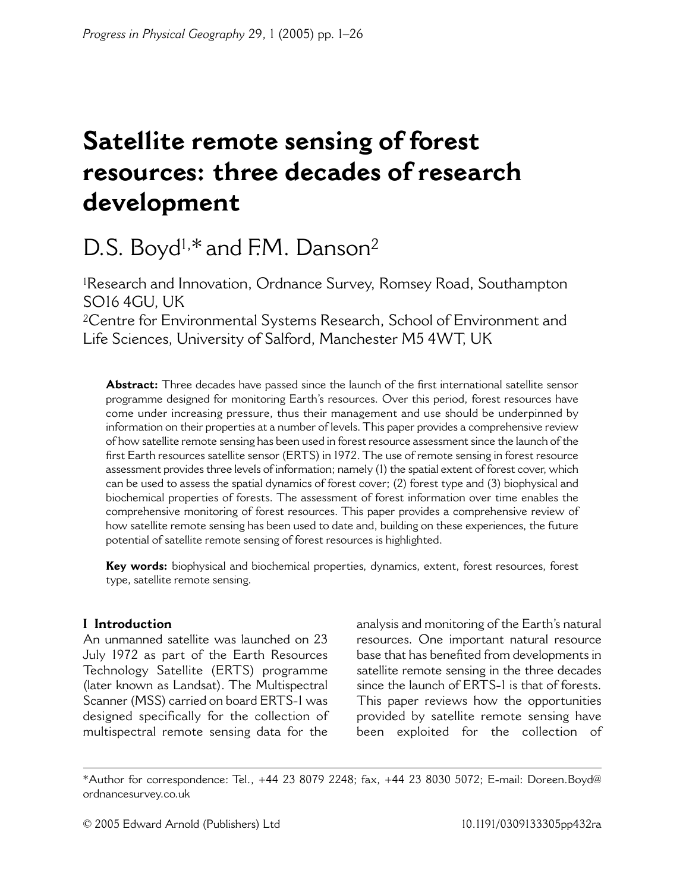# Satellite remote sensing of forest resources: three decades of research development

# D.S. Boyd<sup>1,\*</sup> and F.M. Danson<sup>2</sup>

<sup>1</sup>Research and Innovation, Ordnance Survey, Romsey Road, Southampton **SO16 4GU, UK** <sup>2</sup>Centre for Environmental Systems Research, School of Environment and Life Sciences, University of Salford, Manchester M5 4WT, UK

**Abstract:** Three decades have passed since the launch of the first international satellite sensor programme designed for monitoring Earth's resources. Over this period, forest resources have come under increasing pressure, thus their management and use should be underpinned by information on their properties at a number of levels. This paper provides a comprehensive review of how satellite remote sensing has been used in forest resource assessment since the launch of the first Earth resources satellite sensor (ERTS) in 1972. The use of remote sensing in forest resource assessment provides three levels of information; namely (1) the spatial extent of forest cover, which can be used to assess the spatial dynamics of forest cover; (2) forest type and (3) biophysical and biochemical properties of forests. The assessment of forest information over time enables the comprehensive monitoring of forest resources. This paper provides a comprehensive review of how satellite remote sensing has been used to date and, building on these experiences, the future potential of satellite remote sensing of forest resources is highlighted.

Key words: biophysical and biochemical properties, dynamics, extent, forest resources, forest type, satellite remote sensing.

# **I** Introduction

An unmanned satellite was launched on 23 July 1972 as part of the Earth Resources Technology Satellite (ERTS) programme (later known as Landsat). The Multispectral Scanner (MSS) carried on board ERTS-1 was designed specifically for the collection of multispectral remote sensing data for the

analysis and monitoring of the Earth's natural resources. One important natural resource base that has benefited from developments in satellite remote sensing in the three decades since the launch of ERTS-1 is that of forests. This paper reviews how the opportunities provided by satellite remote sensing have been exploited for the collection of

<sup>\*</sup>Author for correspondence: Tel., +44 23 8079 2248; fax, +44 23 8030 5072; E-mail: Doreen.Boyd@ ordnancesurvey.co.uk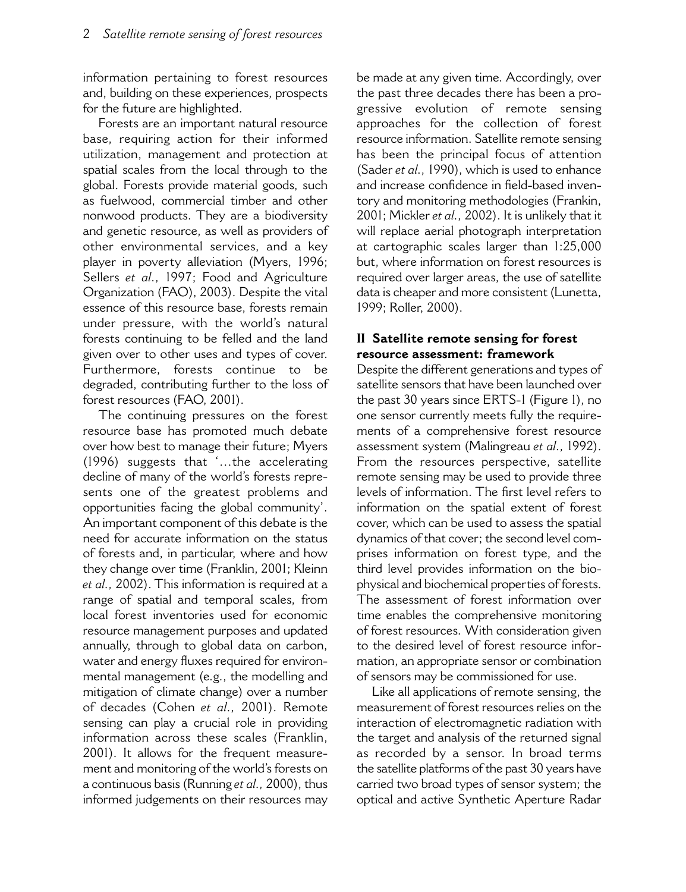information pertaining to forest resources and, building on these experiences, prospects for the future are highlighted.

Forests are an important natural resource base, requiring action for their informed utilization, management and protection at spatial scales from the local through to the global. Forests provide material goods, such as fuelwood, commercial timber and other nonwood products. They are a biodiversity and genetic resource, as well as providers of other environmental services, and a key player in poverty alleviation (Myers, 1996; Sellers et al., 1997; Food and Agriculture Organization (FAO), 2003). Despite the vital essence of this resource base, forests remain under pressure, with the world's natural forests continuing to be felled and the land given over to other uses and types of cover. Furthermore, forests continue to be degraded, contributing further to the loss of forest resources (FAO, 2001).

The continuing pressures on the forest resource base has promoted much debate over how best to manage their future; Myers (1996) suggests that '...the accelerating decline of many of the world's forests represents one of the greatest problems and opportunities facing the global community'. An important component of this debate is the need for accurate information on the status of forests and, in particular, where and how they change over time (Franklin, 2001; Kleinn et al., 2002). This information is required at a range of spatial and temporal scales, from local forest inventories used for economic resource management purposes and updated annually, through to global data on carbon, water and energy fluxes required for environmental management (e.g., the modelling and mitigation of climate change) over a number of decades (Cohen et al., 2001). Remote sensing can play a crucial role in providing information across these scales (Franklin, 2001). It allows for the frequent measurement and monitoring of the world's forests on a continuous basis (Running et al., 2000), thus informed judgements on their resources may be made at any given time. Accordingly, over the past three decades there has been a progressive evolution of remote sensing approaches for the collection of forest resource information. Satellite remote sensing has been the principal focus of attention (Sader et al., 1990), which is used to enhance and increase confidence in field-based inventory and monitoring methodologies (Frankin, 2001; Mickler et al., 2002). It is unlikely that it will replace aerial photograph interpretation at cartographic scales larger than 1:25,000 but. where information on forest resources is required over larger areas, the use of satellite data is cheaper and more consistent (Lunetta, 1999; Roller, 2000).

## II Satellite remote sensing for forest resource assessment: framework

Despite the different generations and types of satellite sensors that have been launched over the past 30 years since ERTS-1 (Figure 1), no one sensor currently meets fully the requirements of a comprehensive forest resource assessment system (Malingreau et al., 1992). From the resources perspective, satellite remote sensing may be used to provide three levels of information. The first level refers to information on the spatial extent of forest cover, which can be used to assess the spatial dynamics of that cover; the second level comprises information on forest type, and the third level provides information on the biophysical and biochemical properties of forests. The assessment of forest information over time enables the comprehensive monitoring of forest resources. With consideration given to the desired level of forest resource information, an appropriate sensor or combination of sensors may be commissioned for use.

Like all applications of remote sensing, the measurement of forest resources relies on the interaction of electromagnetic radiation with the target and analysis of the returned signal as recorded by a sensor. In broad terms the satellite platforms of the past 30 years have carried two broad types of sensor system; the optical and active Synthetic Aperture Radar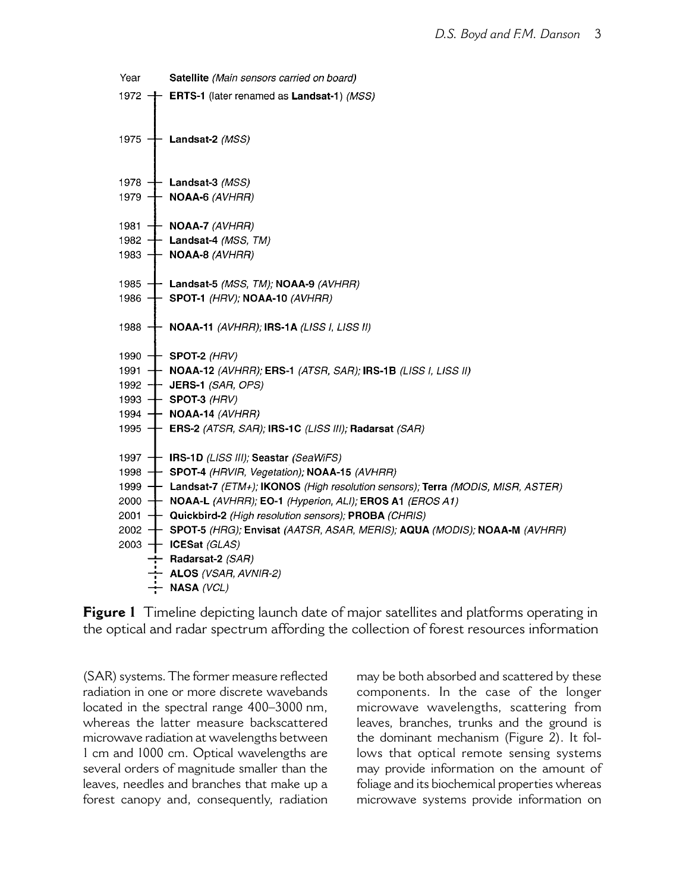| Year | Satellite (Main sensors carried on board)                                                    |
|------|----------------------------------------------------------------------------------------------|
|      | 1972 $+$ ERTS-1 (later renamed as Landsat-1) (MSS)                                           |
|      |                                                                                              |
|      |                                                                                              |
|      | 1975 $+$ Landsat-2 (MSS)                                                                     |
|      |                                                                                              |
|      | 1978 $+$ Landsat-3 (MSS)                                                                     |
|      | 1979 $+$ NOAA-6 (AVHRR)                                                                      |
|      |                                                                                              |
|      | 1981 $+$ NOAA-7 (AVHRR)                                                                      |
|      | 1982 $+$ Landsat-4 (MSS, TM)                                                                 |
|      | 1983 $+$ NOAA-8 (AVHRR)                                                                      |
|      | 1985 $+$ Landsat-5 (MSS, TM); NOAA-9 (AVHRR)                                                 |
|      | 1986 $+$ SPOT-1 (HRV); NOAA-10 (AVHRR)                                                       |
|      |                                                                                              |
|      | 1988 $+$ NOAA-11 (AVHRR); IRS-1A (LISS I, LISS II)                                           |
|      |                                                                                              |
|      | 1990 $+$ SPOT-2 (HRV)                                                                        |
|      | 1991 <b>+</b> NOAA-12 (AVHRR); ERS-1 (ATSR, SAR); IRS-1B (LISS I, LISS II)                   |
|      | 1992 - JERS-1 (SAR, OPS)                                                                     |
|      | 1993 $+$ SPOT-3 (HRV)                                                                        |
|      | 1994 + NOAA-14 (AVHRR)                                                                       |
|      | 1995 $+$ ERS-2 (ATSR, SAR); IRS-1C (LISS III); Radarsat (SAR)                                |
|      |                                                                                              |
|      | 1997 + IRS-1D (LISS III); Seastar (SeaWiFS)                                                  |
|      | 1998 - SPOT-4 (HRVIR, Vegetation); NOAA-15 (AVHRR)                                           |
|      | 1999 <b>+ Landsat-7</b> (ETM+); IKONOS (High resolution sensors); Terra (MODIS, MISR, ASTER) |
|      | 2000 - NOAA-L (AVHRR); EO-1 (Hyperion, ALI); EROS A1 (EROS A1)                               |
|      | 2001 <b>+ Quickbird-2</b> (High resolution sensors); <b>PROBA</b> (CHRIS)                    |
|      | 2002 - SPOT-5 (HRG); Envisat (AATSR, ASAR, MERIS); AQUA (MODIS); NOAA-M (AVHRR)              |
|      | 2003 $+$ ICESat (GLAS)                                                                       |
|      | $\leftarrow$ Radarsat-2 (SAR)<br>$\div$ ALOS (VSAR, AVNIR-2)                                 |
|      | $\div$ NASA (VCL)                                                                            |
|      |                                                                                              |

Figure 1 Timeline depicting launch date of major satellites and platforms operating in the optical and radar spectrum affording the collection of forest resources information

(SAR) systems. The former measure reflected radiation in one or more discrete wavebands located in the spectral range 400-3000 nm, whereas the latter measure backscattered microwave radiation at wavelengths between 1 cm and 1000 cm. Optical wavelengths are several orders of magnitude smaller than the leaves, needles and branches that make up a forest canopy and, consequently, radiation may be both absorbed and scattered by these components. In the case of the longer microwave wavelengths, scattering from leaves, branches, trunks and the ground is the dominant mechanism (Figure 2). It follows that optical remote sensing systems may provide information on the amount of foliage and its biochemical properties whereas microwave systems provide information on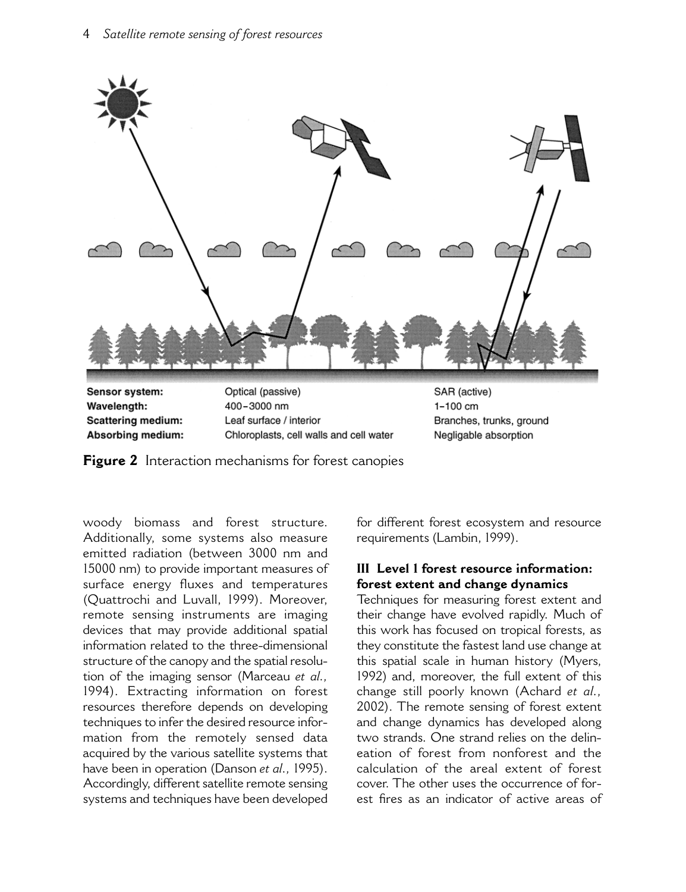

Sensor system: Wavelength: **Scattering medium:** Absorbing medium: Optical (passive)  $400 - 3000$  nm Leaf surface / interior Chloroplasts, cell walls and cell water SAR (active)  $1 - 100$  cm Branches, trunks, ground Negligable absorption

Figure 2 Interaction mechanisms for forest canopies

woody biomass and forest structure. Additionally, some systems also measure emitted radiation (between 3000 nm and 15000 nm) to provide important measures of surface energy fluxes and temperatures (Ouattrochi and Luvall, 1999). Moreover, remote sensing instruments are imaging devices that may provide additional spatial information related to the three-dimensional structure of the canopy and the spatial resolution of the imaging sensor (Marceau et al., 1994). Extracting information on forest resources therefore depends on developing techniques to infer the desired resource information from the remotely sensed data acquired by the various satellite systems that have been in operation (Danson et al., 1995). Accordingly, different satellite remote sensing systems and techniques have been developed

for different forest ecosystem and resource requirements (Lambin, 1999).

# III Level 1 forest resource information: forest extent and change dynamics

Techniques for measuring forest extent and their change have evolved rapidly. Much of this work has focused on tropical forests, as they constitute the fastest land use change at this spatial scale in human history (Myers, 1992) and, moreover, the full extent of this change still poorly known (Achard et al., 2002). The remote sensing of forest extent and change dynamics has developed along two strands. One strand relies on the delineation of forest from nonforest and the calculation of the areal extent of forest cover. The other uses the occurrence of forest fires as an indicator of active areas of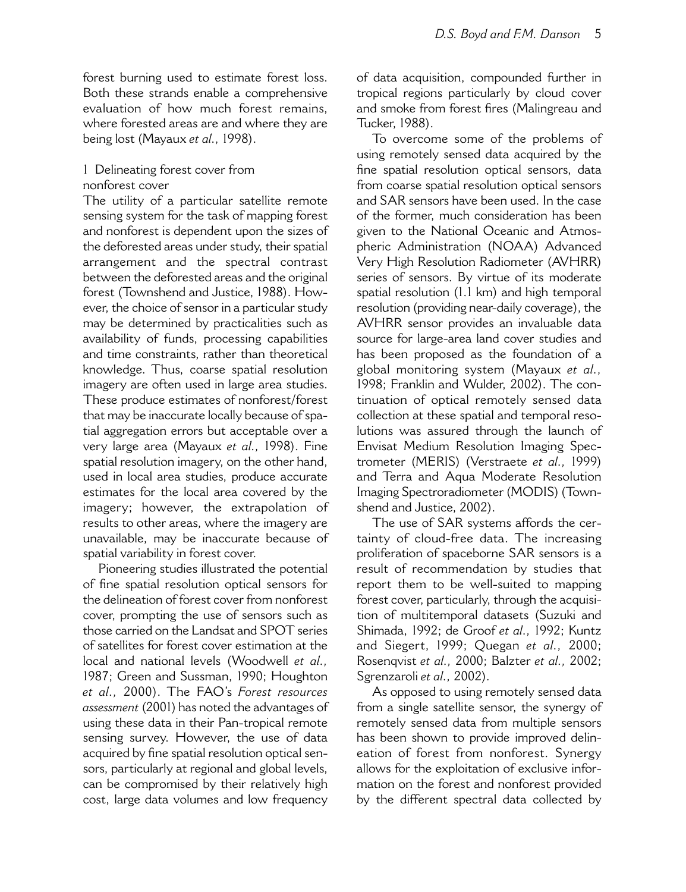forest burning used to estimate forest loss. Both these strands enable a comprehensive evaluation of how much forest remains, where forested areas are and where they are being lost (Mayaux et al., 1998).

# 1 Delineating forest cover from nonforest cover

The utility of a particular satellite remote sensing system for the task of mapping forest and nonforest is dependent upon the sizes of the deforested areas under study, their spatial arrangement and the spectral contrast between the deforested areas and the original forest (Townshend and Justice, 1988). However, the choice of sensor in a particular study may be determined by practicalities such as availability of funds, processing capabilities and time constraints, rather than theoretical knowledge. Thus, coarse spatial resolution imagery are often used in large area studies. These produce estimates of nonforest/forest that may be inaccurate locally because of spatial aggregation errors but acceptable over a very large area (Mayaux et al., 1998). Fine spatial resolution imagery, on the other hand, used in local area studies, produce accurate estimates for the local area covered by the imagery; however, the extrapolation of results to other areas, where the imagery are unavailable, may be inaccurate because of spatial variability in forest cover.

Pioneering studies illustrated the potential of fine spatial resolution optical sensors for the delineation of forest cover from nonforest cover, prompting the use of sensors such as those carried on the Landsat and SPOT series of satellites for forest cover estimation at the local and national levels (Woodwell et al., 1987; Green and Sussman, 1990; Houghton et al., 2000). The FAO's Forest resources assessment (2001) has noted the advantages of using these data in their Pan-tropical remote sensing survey. However, the use of data acquired by fine spatial resolution optical sensors, particularly at regional and global levels, can be compromised by their relatively high cost, large data volumes and low frequency of data acquisition, compounded further in tropical regions particularly by cloud cover and smoke from forest fires (Malingreau and Tucker, 1988).

To overcome some of the problems of using remotely sensed data acquired by the fine spatial resolution optical sensors, data from coarse spatial resolution optical sensors and SAR sensors have been used. In the case of the former much consideration has been given to the National Oceanic and Atmospheric Administration (NOAA) Advanced Very High Resolution Radiometer (AVHRR) series of sensors. By virtue of its moderate spatial resolution (1.1 km) and high temporal resolution (providing near-daily coverage), the AVHRR sensor provides an invaluable data source for large-area land cover studies and has been proposed as the foundation of a global monitoring system (Mayaux et al., 1998; Franklin and Wulder, 2002). The continuation of optical remotely sensed data collection at these spatial and temporal resolutions was assured through the launch of Envisat Medium Resolution Imaging Spectrometer (MERIS) (Verstraete et al., 1999) and Terra and Aqua Moderate Resolution Imaging Spectroradiometer (MODIS) (Townshend and Justice, 2002).

The use of SAR systems affords the certainty of cloud-free data. The increasing proliferation of spaceborne SAR sensors is a result of recommendation by studies that report them to be well-suited to mapping forest cover, particularly, through the acquisition of multitemporal datasets (Suzuki and Shimada, 1992; de Groof et al., 1992; Kuntz and Siegert, 1999; Quegan et al., 2000; Rosenqvist et al., 2000; Balzter et al., 2002; Sgrenzaroli et al., 2002).

As opposed to using remotely sensed data from a single satellite sensor, the synergy of remotely sensed data from multiple sensors has been shown to provide improved delineation of forest from nonforest. Synergy allows for the exploitation of exclusive information on the forest and nonforest provided by the different spectral data collected by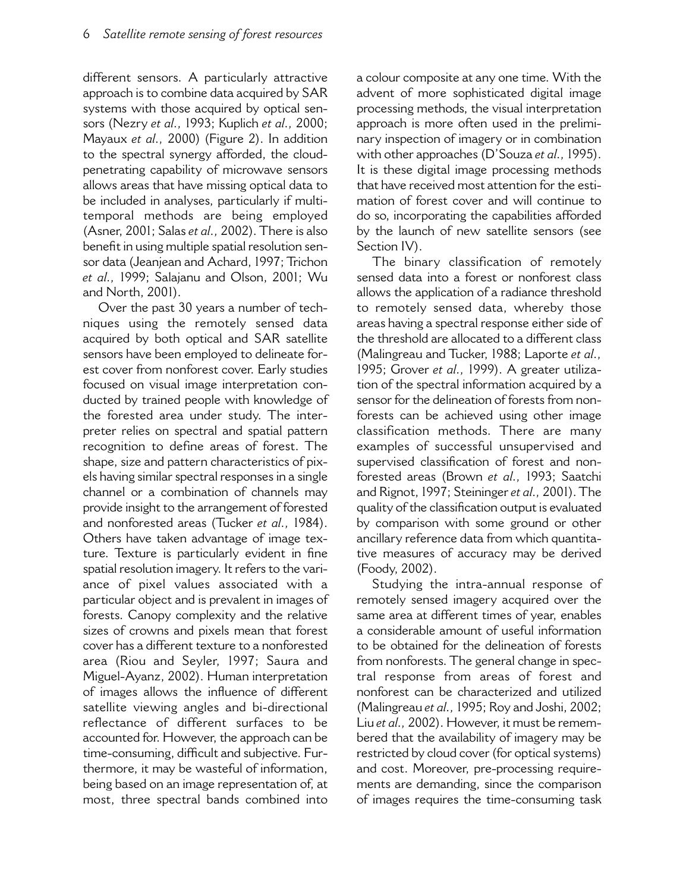different sensors. A particularly attractive approach is to combine data acquired by SAR systems with those acquired by optical sensors (Nezry et al., 1993; Kuplich et al., 2000; Mayaux et al., 2000) (Figure 2). In addition to the spectral synergy afforded, the cloudpenetrating capability of microwave sensors allows areas that have missing optical data to be included in analyses, particularly if multitemporal methods are being employed (Asner, 2001; Salas et al., 2002). There is also benefit in using multiple spatial resolution sensor data (Jeanjean and Achard, 1997; Trichon et al., 1999; Salajanu and Olson, 2001; Wu and North, 2001).

Over the past 30 years a number of techniques using the remotely sensed data acquired by both optical and SAR satellite sensors have been employed to delineate forest cover from nonforest cover. Early studies focused on visual image interpretation conducted by trained people with knowledge of the forested area under study. The interpreter relies on spectral and spatial pattern recognition to define areas of forest. The shape, size and pattern characteristics of pixels having similar spectral responses in a single channel or a combination of channels may provide insight to the arrangement of forested and nonforested areas (Tucker et al., 1984). Others have taken advantage of image texture. Texture is particularly evident in fine spatial resolution imagery. It refers to the variance of pixel values associated with a particular object and is prevalent in images of forests. Canopy complexity and the relative sizes of crowns and pixels mean that forest cover has a different texture to a nonforested area (Riou and Seyler, 1997; Saura and Miguel-Ayanz, 2002). Human interpretation of images allows the influence of different satellite viewing angles and bi-directional reflectance of different surfaces to be accounted for. However, the approach can be time-consuming, difficult and subjective. Furthermore, it may be wasteful of information, being based on an image representation of, at most, three spectral bands combined into a colour composite at any one time. With the advent of more sophisticated digital image processing methods, the visual interpretation approach is more often used in the preliminary inspection of imagery or in combination with other approaches (D'Souza et al., 1995). It is these digital image processing methods that have received most attention for the estimation of forest cover and will continue to do so, incorporating the capabilities afforded by the launch of new satellite sensors (see Section IV).

The binary classification of remotely sensed data into a forest or nonforest class allows the application of a radiance threshold to remotely sensed data, whereby those areas having a spectral response either side of the threshold are allocated to a different class (Malingreau and Tucker, 1988; Laporte et al., 1995; Grover et al., 1999). A greater utilization of the spectral information acquired by a sensor for the delineation of forests from nonforests can be achieved using other image classification methods. There are many examples of successful unsupervised and supervised classification of forest and nonforested areas (Brown et al., 1993; Saatchi and Rignot, 1997; Steininger et al., 2001). The quality of the classification output is evaluated by comparison with some ground or other ancillary reference data from which quantitative measures of accuracy may be derived (Foody, 2002).

Studying the intra-annual response of remotely sensed imagery acquired over the same area at different times of year, enables a considerable amount of useful information to be obtained for the delineation of forests from nonforests. The general change in spectral response from areas of forest and nonforest can be characterized and utilized (Malingreau et al., 1995; Roy and Joshi, 2002; Liu et al., 2002). However, it must be remembered that the availability of imagery may be restricted by cloud cover (for optical systems) and cost. Moreover, pre-processing requirements are demanding, since the comparison of images requires the time-consuming task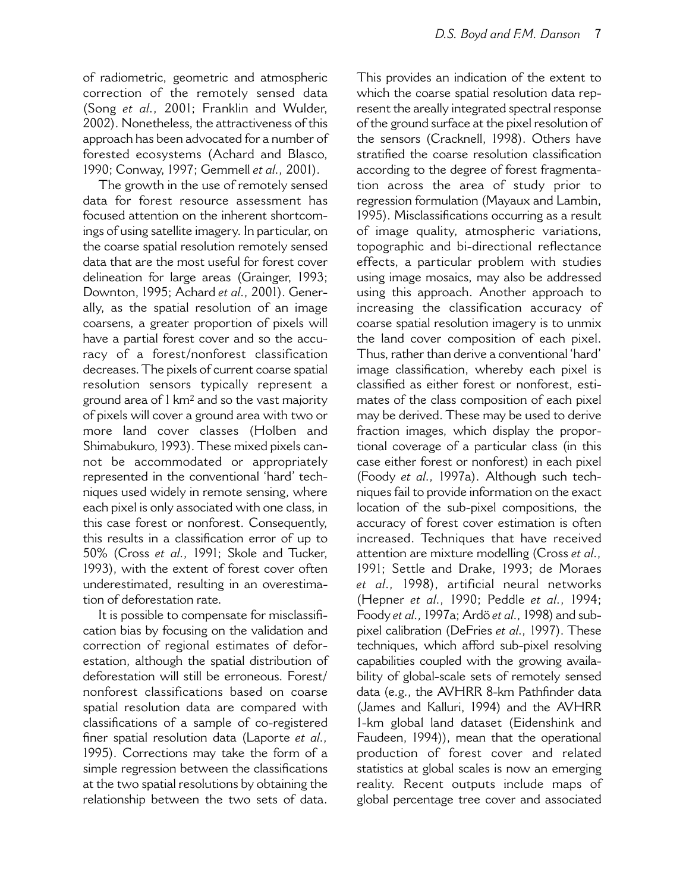of radiometric, geometric and atmospheric correction of the remotely sensed data (Song et al., 2001; Franklin and Wulder, 2002). Nonetheless, the attractiveness of this approach has been advocated for a number of forested ecosystems (Achard and Blasco, 1990; Conway, 1997; Gemmell et al., 2001).

The growth in the use of remotely sensed data for forest resource assessment has focused attention on the inherent shortcomings of using satellite imagery. In particular, on the coarse spatial resolution remotely sensed data that are the most useful for forest cover delineation for large areas (Grainger, 1993; Downton, 1995; Achard et al., 2001). Generally, as the spatial resolution of an image coarsens, a greater proportion of pixels will have a partial forest cover and so the accuracy of a forest/nonforest classification decreases. The pixels of current coarse spatial resolution sensors typically represent a ground area of 1 km<sup>2</sup> and so the vast majority of pixels will cover a ground area with two or more land cover classes (Holben and Shimabukuro, 1993). These mixed pixels cannot be accommodated or appropriately represented in the conventional 'hard' techniques used widely in remote sensing, where each pixel is only associated with one class, in this case forest or nonforest. Consequently, this results in a classification error of up to 50% (Cross et al., 1991; Skole and Tucker, 1993), with the extent of forest cover often underestimated, resulting in an overestimation of deforestation rate.

It is possible to compensate for misclassification bias by focusing on the validation and correction of regional estimates of deforestation, although the spatial distribution of deforestation will still be erroneous. Forest/ nonforest classifications based on coarse spatial resolution data are compared with classifications of a sample of co-registered finer spatial resolution data (Laporte et al., 1995). Corrections may take the form of a simple regression between the classifications at the two spatial resolutions by obtaining the relationship between the two sets of data.

This provides an indication of the extent to which the coarse spatial resolution data represent the areally integrated spectral response of the ground surface at the pixel resolution of the sensors (Cracknell, 1998). Others have stratified the coarse resolution classification according to the degree of forest fragmentation across the area of study prior to regression formulation (Mayaux and Lambin, 1995). Misclassifications occurring as a result of image quality, atmospheric variations, topographic and bi-directional reflectance effects, a particular problem with studies using image mosaics, may also be addressed using this approach. Another approach to increasing the classification accuracy of coarse spatial resolution imagery is to unmix the land cover composition of each pixel. Thus, rather than derive a conventional 'hard' image classification, whereby each pixel is classified as either forest or nonforest, estimates of the class composition of each pixel may be derived. These may be used to derive fraction images, which display the proportional coverage of a particular class (in this case either forest or nonforest) in each pixel (Foody et al., 1997a). Although such techniques fail to provide information on the exact location of the sub-pixel compositions, the accuracy of forest cover estimation is often increased. Techniques that have received attention are mixture modelling (Cross et al., 1991; Settle and Drake, 1993; de Moraes et al., 1998), artificial neural networks (Hepner et al., 1990; Peddle et al., 1994; Foody et al., 1997a; Ardö et al., 1998) and subpixel calibration (DeFries et al., 1997). These techniques, which afford sub-pixel resolving capabilities coupled with the growing availability of global-scale sets of remotely sensed data (e.g., the AVHRR 8-km Pathfinder data (James and Kalluri, 1994) and the AVHRR 1-km global land dataset (Eidenshink and Faudeen, 1994)), mean that the operational production of forest cover and related statistics at global scales is now an emerging reality. Recent outputs include maps of global percentage tree cover and associated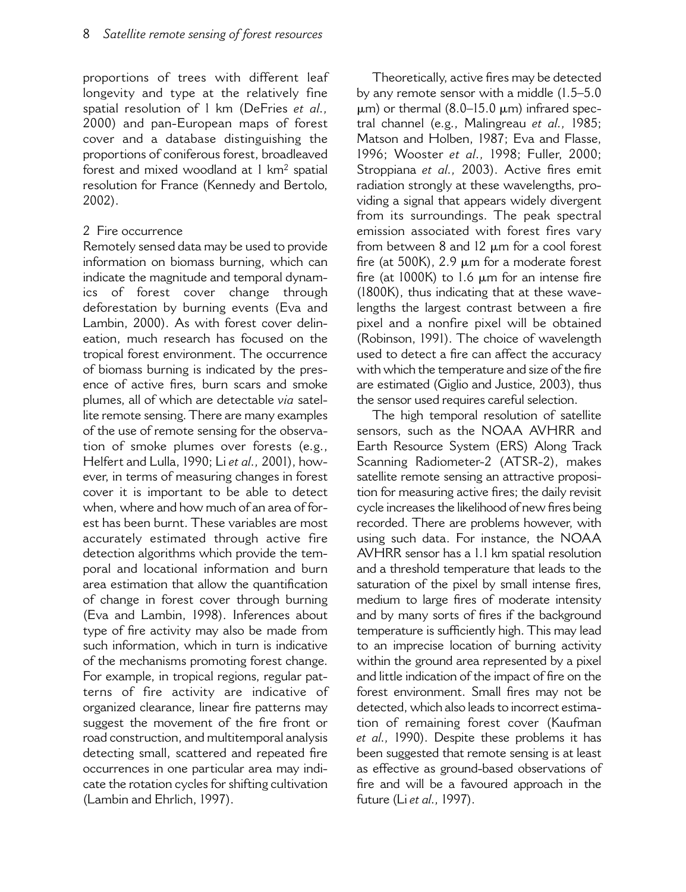proportions of trees with different leaf longevity and type at the relatively fine spatial resolution of 1 km (DeFries et al., 2000) and pan-European maps of forest cover and a database distinguishing the proportions of coniferous forest, broadleaved forest and mixed woodland at 1 km<sup>2</sup> spatial resolution for France (Kennedy and Bertolo,  $2002$ ).

### 2 Fire occurrence

Remotely sensed data may be used to provide information on biomass burning, which can indicate the magnitude and temporal dynamics of forest cover change through deforestation by burning events (Eva and Lambin, 2000). As with forest cover delineation, much research has focused on the tropical forest environment. The occurrence of biomass burning is indicated by the presence of active fires, burn scars and smoke plumes, all of which are detectable via satellite remote sensing. There are many examples of the use of remote sensing for the observation of smoke plumes over forests (e.g., Helfert and Lulla, 1990; Li et al., 2001), however, in terms of measuring changes in forest cover it is important to be able to detect when, where and how much of an area of forest has been burnt. These variables are most accurately estimated through active fire detection algorithms which provide the temporal and locational information and burn area estimation that allow the quantification of change in forest cover through burning (Eva and Lambin, 1998). Inferences about type of fire activity may also be made from such information, which in turn is indicative of the mechanisms promoting forest change. For example, in tropical regions, regular patterns of fire activity are indicative of organized clearance, linear fire patterns may suggest the movement of the fire front or road construction, and multitemporal analysis detecting small, scattered and repeated fire occurrences in one particular area may indicate the rotation cycles for shifting cultivation (Lambin and Ehrlich, 1997).

Theoretically, active fires may be detected by any remote sensor with a middle (1.5-5.0)  $\mu$ m) or thermal (8.0–15.0  $\mu$ m) infrared spectral channel (e.g., Malingreau et al., 1985; Matson and Holben, 1987; Eva and Flasse, 1996; Wooster et al., 1998; Fuller, 2000; Stroppiana et al., 2003). Active fires emit radiation strongly at these wavelengths, providing a signal that appears widely divergent from its surroundings. The peak spectral emission associated with forest fires vary from between 8 and 12 µm for a cool forest fire (at 500K), 2.9 µm for a moderate forest fire (at 1000K) to 1.6 µm for an intense fire (1800K), thus indicating that at these wavelengths the largest contrast between a fire pixel and a nonfire pixel will be obtained (Robinson, 1991). The choice of wavelength used to detect a fire can affect the accuracy with which the temperature and size of the fire are estimated (Giglio and Justice, 2003), thus the sensor used requires careful selection.

The high temporal resolution of satellite sensors, such as the NOAA AVHRR and Earth Resource System (ERS) Along Track Scanning Radiometer-2 (ATSR-2), makes satellite remote sensing an attractive proposition for measuring active fires; the daily revisit cycle increases the likelihood of new fires being recorded. There are problems however, with using such data. For instance, the NOAA AVHRR sensor has a 1.1 km spatial resolution and a threshold temperature that leads to the saturation of the pixel by small intense fires, medium to large fires of moderate intensity and by many sorts of fires if the background temperature is sufficiently high. This may lead to an imprecise location of burning activity within the ground area represented by a pixel and little indication of the impact of fire on the forest environment. Small fires may not be detected. which also leads to incorrect estimation of remaining forest cover (Kaufman et al., 1990). Despite these problems it has been suggested that remote sensing is at least as effective as ground-based observations of fire and will be a favoured approach in the future (Li et al., 1997).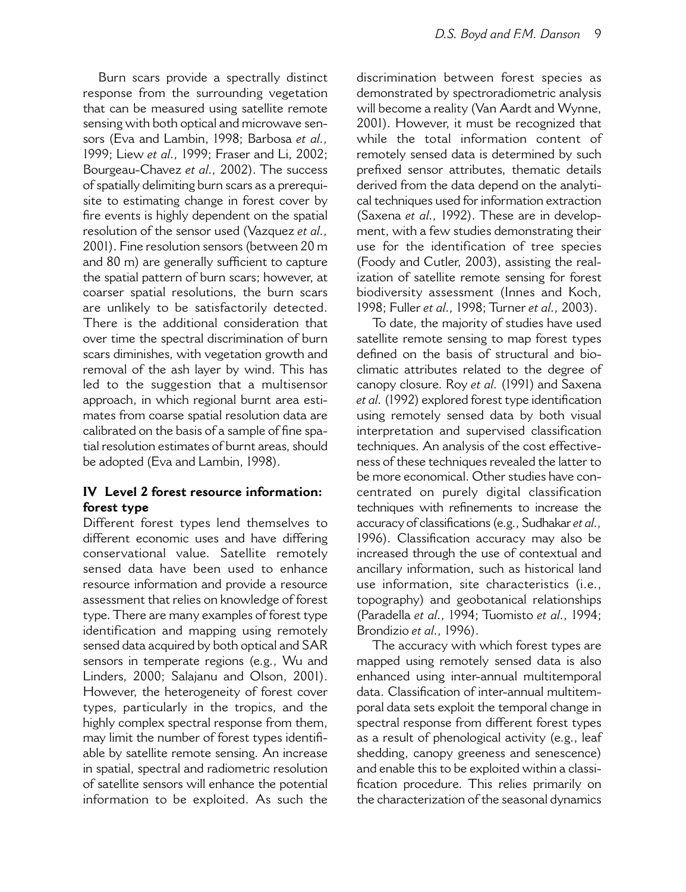Burn scars provide a spectrally distinct response from the surrounding vegetation that can be measured using satellite remote sensing with both optical and microwave sensors (Eva and Lambin, 1998; Barbosa et al., 1999; Liew et al., 1999; Fraser and Li, 2002; Bourgeau-Chavez et al., 2002). The success of spatially delimiting burn scars as a prerequisite to estimating change in forest cover by fire events is highly dependent on the spatial resolution of the sensor used (Vazquez et al., 2001). Fine resolution sensors (between 20 m and 80 m) are generally sufficient to capture the spatial pattern of burn scars; however, at coarser spatial resolutions, the burn scars are unlikely to be satisfactorily detected. There is the additional consideration that over time the spectral discrimination of burn scars diminishes, with vegetation growth and removal of the ash layer by wind. This has led to the suggestion that a multisensor approach, in which regional burnt area estimates from coarse spatial resolution data are calibrated on the basis of a sample of fine spatial resolution estimates of burnt areas, should be adopted (Eva and Lambin, 1998).

# IV Level 2 forest resource information: forest type

Different forest types lend themselves to different economic uses and have differing conservational value. Satellite remotely sensed data have been used to enhance resource information and provide a resource assessment that relies on knowledge of forest type. There are many examples of forest type identification and mapping using remotely sensed data acquired by both optical and SAR sensors in temperate regions (e.g., Wu and Linders, 2000; Salajanu and Olson, 2001). However, the heterogeneity of forest cover types, particularly in the tropics, and the highly complex spectral response from them, may limit the number of forest types identifiable by satellite remote sensing. An increase in spatial, spectral and radiometric resolution of satellite sensors will enhance the potential information to be exploited. As such the

discrimination between forest species as demonstrated by spectroradiometric analysis will become a reality (Van Aardt and Wynne, 2001). However, it must be recognized that while the total information content of remotely sensed data is determined by such prefixed sensor attributes, thematic details derived from the data depend on the analytical techniques used for information extraction (Saxena et al., 1992). These are in development, with a few studies demonstrating their use for the identification of tree species (Foody and Cutler, 2003), assisting the realization of satellite remote sensing for forest biodiversity assessment (Innes and Koch, 1998; Fuller et al., 1998; Turner et al., 2003).

To date, the majority of studies have used satellite remote sensing to map forest types defined on the basis of structural and bioclimatic attributes related to the degree of canopy closure. Roy et al. (1991) and Saxena et al. (1992) explored forest type identification using remotely sensed data by both visual interpretation and supervised classification techniques. An analysis of the cost effectiveness of these techniques revealed the latter to be more economical. Other studies have concentrated on purely digital classification techniques with refinements to increase the accuracy of classifications (e.g., Sudhakar et al., 1996). Classification accuracy may also be increased through the use of contextual and ancillary information, such as historical land use information, site characteristics (i.e., topography) and geobotanical relationships (Paradella et al., 1994; Tuomisto et al., 1994; Brondizio et al., 1996).

The accuracy with which forest types are mapped using remotely sensed data is also enhanced using inter-annual multitemporal data. Classification of inter-annual multitemporal data sets exploit the temporal change in spectral response from different forest types as a result of phenological activity (e.g., leaf shedding, canopy greeness and senescence) and enable this to be exploited within a classification procedure. This relies primarily on the characterization of the seasonal dynamics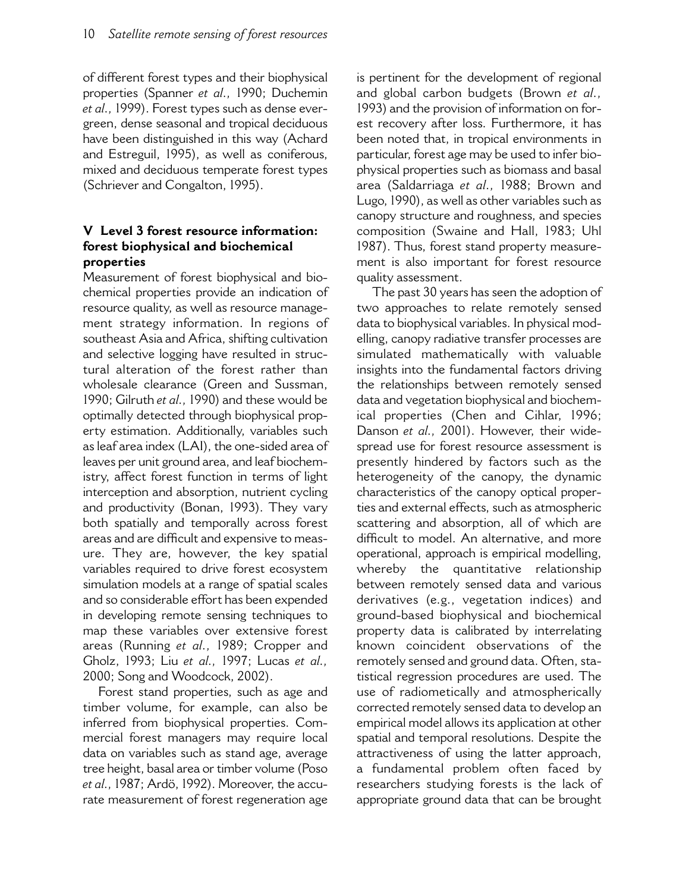of different forest types and their biophysical properties (Spanner et al., 1990; Duchemin et al., 1999). Forest types such as dense evergreen, dense seasonal and tropical deciduous have been distinguished in this way (Achard and Estreguil, 1995), as well as coniferous, mixed and deciduous temperate forest types (Schriever and Congalton, 1995).

# V Level 3 forest resource information: forest biophysical and biochemical properties

Measurement of forest biophysical and biochemical properties provide an indication of resource quality, as well as resource management strategy information. In regions of southeast Asia and Africa, shifting cultivation and selective logging have resulted in structural alteration of the forest rather than wholesale clearance (Green and Sussman, 1990; Gilruth et al., 1990) and these would be optimally detected through biophysical property estimation. Additionally, variables such as leaf area index (LAI), the one-sided area of leaves per unit ground area, and leaf biochemistry, affect forest function in terms of light interception and absorption, nutrient cycling and productivity (Bonan, 1993). They vary both spatially and temporally across forest areas and are difficult and expensive to measure. They are, however, the key spatial variables required to drive forest ecosystem simulation models at a range of spatial scales and so considerable effort has been expended in developing remote sensing techniques to map these variables over extensive forest areas (Running et al., 1989; Cropper and Gholz, 1993; Liu et al., 1997; Lucas et al., 2000; Song and Woodcock, 2002).

Forest stand properties, such as age and timber volume, for example, can also be inferred from biophysical properties. Commercial forest managers may require local data on variables such as stand age, average tree height, basal area or timber volume (Poso et al., 1987; Ardö, 1992). Moreover, the accurate measurement of forest regeneration age

is pertinent for the development of regional and global carbon budgets (Brown et al., 1993) and the provision of information on forest recovery after loss. Furthermore, it has been noted that, in tropical environments in particular, forest age may be used to infer biophysical properties such as biomass and basal area (Saldarriaga et al., 1988; Brown and Lugo, 1990), as well as other variables such as canopy structure and roughness, and species composition (Swaine and Hall, 1983; Uhl 1987). Thus, forest stand property measurement is also important for forest resource quality assessment.

The past 30 years has seen the adoption of two approaches to relate remotely sensed data to biophysical variables. In physical modelling, canopy radiative transfer processes are simulated mathematically with valuable insights into the fundamental factors driving the relationships between remotely sensed data and vegetation biophysical and biochemical properties (Chen and Cihlar, 1996; Danson et al., 2001). However, their widespread use for forest resource assessment is presently hindered by factors such as the heterogeneity of the canopy, the dynamic characteristics of the canopy optical properties and external effects, such as atmospheric scattering and absorption, all of which are difficult to model. An alternative, and more operational, approach is empirical modelling, whereby the quantitative relationship between remotely sensed data and various derivatives (e.g., vegetation indices) and ground-based biophysical and biochemical property data is calibrated by interrelating known coincident observations of the remotely sensed and ground data. Often, statistical regression procedures are used. The use of radiometically and atmospherically corrected remotely sensed data to develop an empirical model allows its application at other spatial and temporal resolutions. Despite the attractiveness of using the latter approach, a fundamental problem often faced by researchers studying forests is the lack of appropriate ground data that can be brought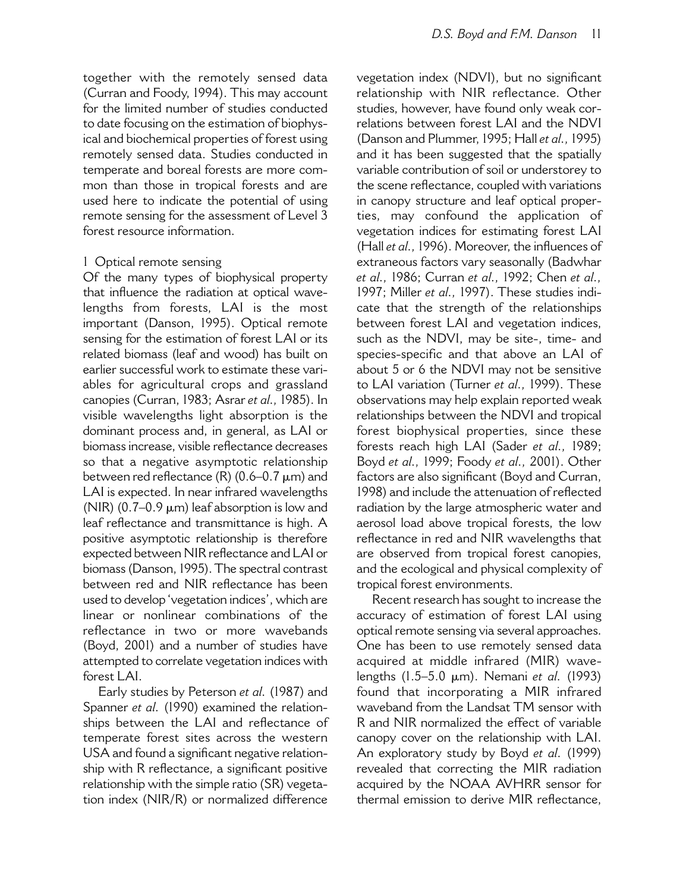together with the remotely sensed data (Curran and Foody, 1994). This may account for the limited number of studies conducted to date focusing on the estimation of biophysical and biochemical properties of forest using remotely sensed data. Studies conducted in temperate and boreal forests are more common than those in tropical forests and are used here to indicate the potential of using remote sensing for the assessment of Level 3 forest resource information

### 1 Optical remote sensing

Of the many types of biophysical property that influence the radiation at optical wavelengths from forests, LAI is the most important (Danson, 1995). Optical remote sensing for the estimation of forest LAI or its related biomass (leaf and wood) has built on earlier successful work to estimate these variables for agricultural crops and grassland canopies (Curran, 1983; Asrar et al., 1985). In visible wavelengths light absorption is the dominant process and, in general, as LAI or biomass increase, visible reflectance decreases so that a negative asymptotic relationship between red reflectance (R) (0.6-0.7 µm) and LAI is expected. In near infrared wavelengths (NIR)  $(0.7-0.9 \mu m)$  leaf absorption is low and leaf reflectance and transmittance is high. A positive asymptotic relationship is therefore expected between NIR reflectance and LAI or biomass (Danson, 1995). The spectral contrast between red and NIR reflectance has been used to develop 'vegetation indices', which are linear or nonlinear combinations of the reflectance in two or more wavebands (Boyd, 2001) and a number of studies have attempted to correlate vegetation indices with forest LAI.

Early studies by Peterson et al. (1987) and Spanner et al. (1990) examined the relationships between the LAI and reflectance of temperate forest sites across the western USA and found a significant negative relationship with R reflectance, a significant positive relationship with the simple ratio (SR) vegetation index (NIR/R) or normalized difference

vegetation index (NDVI), but no significant relationship with NIR reflectance. Other studies, however, have found only weak correlations between forest LAI and the NDVI (Danson and Plummer, 1995; Hall et al., 1995) and it has been suggested that the spatially variable contribution of soil or understorey to the scene reflectance, coupled with variations in canopy structure and leaf optical properties, may confound the application of vegetation indices for estimating forest LAI (Hall et al., 1996). Moreover, the influences of extraneous factors vary seasonally (Badwhar et al., 1986; Curran et al., 1992; Chen et al., 1997; Miller et al., 1997). These studies indicate that the strength of the relationships between forest LAI and vegetation indices, such as the NDVI, may be site-, time- and species-specific and that above an LAI of about 5 or 6 the NDVI may not be sensitive to LAI variation (Turner et al., 1999). These observations may help explain reported weak relationships between the NDVI and tropical forest biophysical properties, since these forests reach high LAI (Sader et al., 1989; Boyd et al., 1999; Foody et al., 2001). Other factors are also significant (Boyd and Curran, 1998) and include the attenuation of reflected radiation by the large atmospheric water and aerosol load above tropical forests, the low reflectance in red and NIR wavelengths that are observed from tropical forest canopies, and the ecological and physical complexity of tropical forest environments.

Recent research has sought to increase the accuracy of estimation of forest LAI using optical remote sensing via several approaches. One has been to use remotely sensed data acquired at middle infrared (MIR) wavelengths (1.5-5.0 µm). Nemani et al. (1993) found that incorporating a MIR infrared waveband from the Landsat TM sensor with R and NIR normalized the effect of variable canopy cover on the relationship with LAI. An exploratory study by Boyd et al. (1999) revealed that correcting the MIR radiation acquired by the NOAA AVHRR sensor for thermal emission to derive MIR reflectance,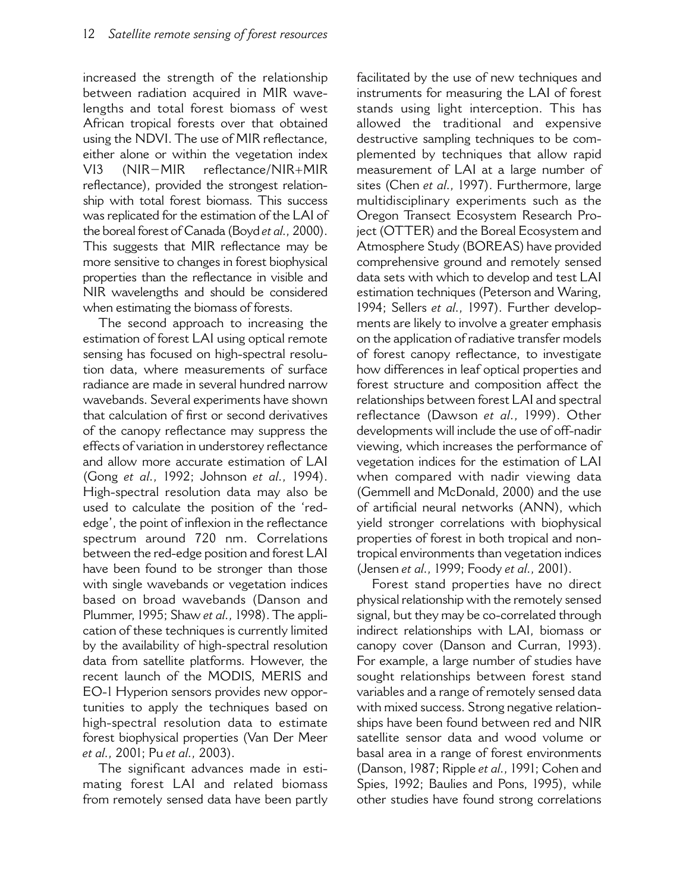increased the strength of the relationship between radiation acquired in MIR wavelengths and total forest biomass of west African tropical forests over that obtained using the NDVI. The use of MIR reflectance, either alone or within the vegetation index  $(NIR-MIR)$ reflectance/NIR+MIR  $VI3$ reflectance), provided the strongest relationship with total forest biomass. This success was replicated for the estimation of the LAI of the boreal forest of Canada (Boyd et al., 2000). This suggests that MIR reflectance may be more sensitive to changes in forest biophysical properties than the reflectance in visible and NIR wavelengths and should be considered when estimating the biomass of forests.

The second approach to increasing the estimation of forest LAI using optical remote sensing has focused on high-spectral resolution data, where measurements of surface radiance are made in several hundred narrow wavebands. Several experiments have shown that calculation of first or second derivatives of the canopy reflectance may suppress the effects of variation in understorey reflectance and allow more accurate estimation of LAI (Gong et al., 1992; Johnson et al., 1994). High-spectral resolution data may also be used to calculate the position of the 'rededge', the point of inflexion in the reflectance spectrum around 720 nm. Correlations between the red-edge position and forest LAI have been found to be stronger than those with single wavebands or vegetation indices based on broad wavebands (Danson and Plummer, 1995; Shaw et al., 1998). The application of these techniques is currently limited by the availability of high-spectral resolution data from satellite platforms. However, the recent launch of the MODIS, MERIS and EO-1 Hyperion sensors provides new opportunities to apply the techniques based on high-spectral resolution data to estimate forest biophysical properties (Van Der Meer et al., 2001; Pu et al., 2003).

The significant advances made in estimating forest LAI and related biomass from remotely sensed data have been partly facilitated by the use of new techniques and instruments for measuring the LAI of forest stands using light interception. This has allowed the traditional and expensive destructive sampling techniques to be complemented by techniques that allow rapid measurement of LAI at a large number of sites (Chen et al., 1997). Furthermore, large multidisciplinary experiments such as the Oregon Transect Ecosystem Research Project (OTTER) and the Boreal Ecosystem and Atmosphere Study (BOREAS) have provided comprehensive ground and remotely sensed data sets with which to develop and test LAI estimation techniques (Peterson and Waring, 1994; Sellers et al., 1997). Further developments are likely to involve a greater emphasis on the application of radiative transfer models of forest canopy reflectance, to investigate how differences in leaf optical properties and forest structure and composition affect the relationships between forest LAI and spectral reflectance (Dawson et al., 1999). Other developments will include the use of off-nadir viewing, which increases the performance of vegetation indices for the estimation of LAI when compared with nadir viewing data (Gemmell and McDonald, 2000) and the use of artificial neural networks (ANN), which yield stronger correlations with biophysical properties of forest in both tropical and nontropical environments than vegetation indices (Jensen et al., 1999; Foody et al., 2001).

Forest stand properties have no direct physical relationship with the remotely sensed signal, but they may be co-correlated through indirect relationships with LAI, biomass or canopy cover (Danson and Curran, 1993). For example, a large number of studies have sought relationships between forest stand variables and a range of remotely sensed data with mixed success. Strong negative relationships have been found between red and NIR satellite sensor data and wood volume or basal area in a range of forest environments (Danson, 1987; Ripple et al., 1991; Cohen and Spies, 1992; Baulies and Pons, 1995), while other studies have found strong correlations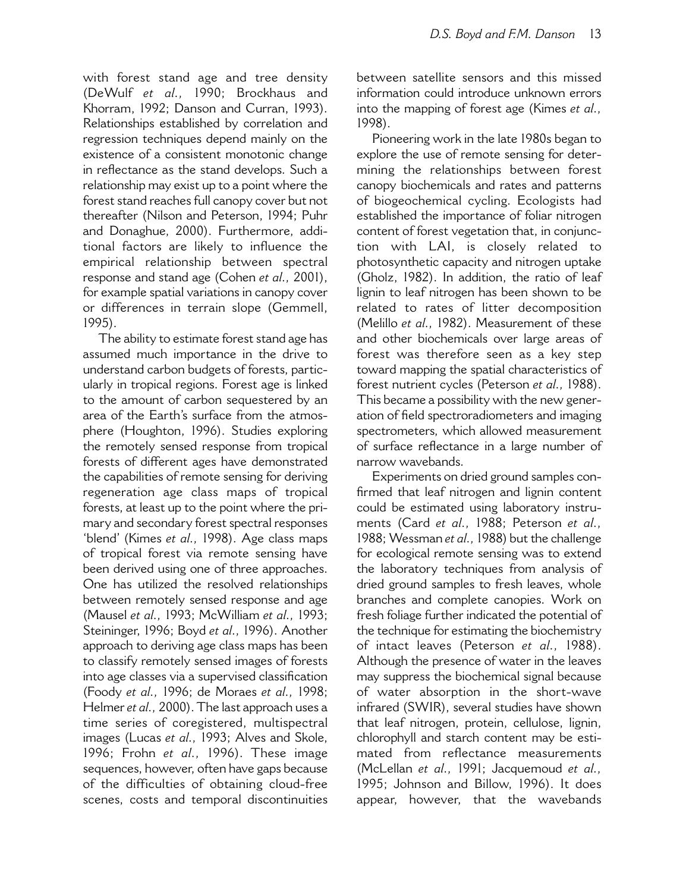with forest stand age and tree density (DeWulf et al., 1990; Brockhaus and Khorram, 1992; Danson and Curran, 1993). Relationships established by correlation and regression techniques depend mainly on the existence of a consistent monotonic change in reflectance as the stand develops. Such a relationship may exist up to a point where the forest stand reaches full canopy cover but not thereafter (Nilson and Peterson, 1994; Puhr and Donaghue, 2000). Furthermore, additional factors are likely to influence the empirical relationship between spectral response and stand age (Cohen et al., 2001). for example spatial variations in canopy cover or differences in terrain slope (Gemmell,  $1995$ ).

The ability to estimate forest stand age has assumed much importance in the drive to understand carbon budgets of forests, particularly in tropical regions. Forest age is linked to the amount of carbon sequestered by an area of the Earth's surface from the atmosphere (Houghton, 1996). Studies exploring the remotely sensed response from tropical forests of different ages have demonstrated the capabilities of remote sensing for deriving regeneration age class maps of tropical forests, at least up to the point where the primary and secondary forest spectral responses 'blend' (Kimes et al., 1998). Age class maps of tropical forest via remote sensing have been derived using one of three approaches. One has utilized the resolved relationships between remotely sensed response and age (Mausel et al., 1993; McWilliam et al., 1993; Steininger, 1996; Boyd et al., 1996). Another approach to deriving age class maps has been to classify remotely sensed images of forests into age classes via a supervised classification (Foody et al., 1996; de Moraes et al., 1998; Helmer et al., 2000). The last approach uses a time series of coregistered, multispectral images (Lucas et al., 1993; Alves and Skole, 1996; Frohn et al., 1996). These image sequences, however, often have gaps because of the difficulties of obtaining cloud-free scenes, costs and temporal discontinuities

between satellite sensors and this missed information could introduce unknown errors into the mapping of forest age (Kimes et al., 1998).

Pioneering work in the late 1980s began to explore the use of remote sensing for determining the relationships between forest canopy biochemicals and rates and patterns of biogeochemical cycling. Ecologists had established the importance of foliar nitrogen content of forest vegetation that, in conjunction with LAI, is closely related  $\overline{t}$ photosynthetic capacity and nitrogen uptake (Gholz, 1982). In addition, the ratio of leaf lignin to leaf nitrogen has been shown to be related to rates of litter decomposition (Melillo et al., 1982). Measurement of these and other biochemicals over large areas of forest was therefore seen as a key step toward mapping the spatial characteristics of forest nutrient cycles (Peterson et al., 1988). This became a possibility with the new generation of field spectroradiometers and imaging spectrometers, which allowed measurement of surface reflectance in a large number of narrow wavebands.

Experiments on dried ground samples confirmed that leaf nitrogen and lignin content could be estimated using laboratory instruments (Card et al., 1988; Peterson et al., 1988; Wessman et al., 1988) but the challenge for ecological remote sensing was to extend the laboratory techniques from analysis of dried ground samples to fresh leaves, whole branches and complete canopies. Work on fresh foliage further indicated the potential of the technique for estimating the biochemistry of intact leaves (Peterson et al., 1988). Although the presence of water in the leaves may suppress the biochemical signal because of water absorption in the short-wave infrared (SWIR), several studies have shown that leaf nitrogen, protein, cellulose, lignin, chlorophyll and starch content may be estimated from reflectance measurements (McLellan et al., 1991; Jacquemoud et al., 1995; Johnson and Billow, 1996). It does appear, however, that the wavebands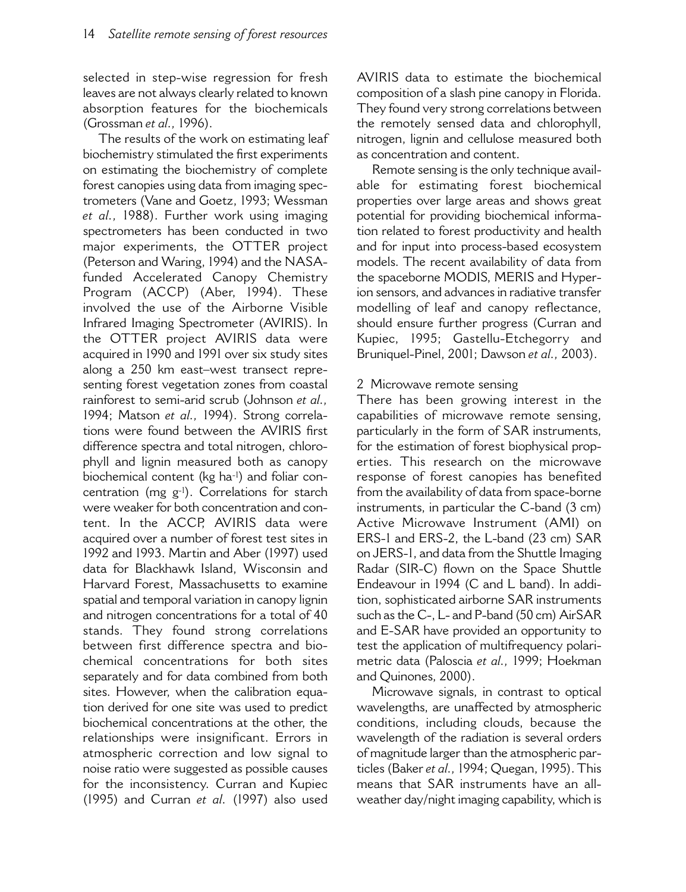selected in step-wise regression for fresh leaves are not always clearly related to known absorption features for the biochemicals (Grossman et al., 1996).

The results of the work on estimating leaf biochemistry stimulated the first experiments on estimating the biochemistry of complete forest canopies using data from imaging spectrometers (Vane and Goetz, 1993; Wessman et al., 1988). Further work using imaging spectrometers has been conducted in two major experiments, the OTTER project (Peterson and Waring, 1994) and the NASAfunded Accelerated Canopy Chemistry Program (ACCP) (Aber, 1994). These involved the use of the Airborne Visible Infrared Imaging Spectrometer (AVIRIS). In the OTTER project AVIRIS data were acquired in 1990 and 1991 over six study sites along a 250 km east-west transect representing forest vegetation zones from coastal rainforest to semi-arid scrub (Johnson et al., 1994; Matson et al., 1994). Strong correlations were found between the AVIRIS first difference spectra and total nitrogen, chlorophyll and lignin measured both as canopy biochemical content (kg ha-1) and foliar concentration (mg g-1). Correlations for starch were weaker for both concentration and content. In the ACCP, AVIRIS data were acquired over a number of forest test sites in 1992 and 1993. Martin and Aber (1997) used data for Blackhawk Island, Wisconsin and Harvard Forest, Massachusetts to examine spatial and temporal variation in canopy lignin and nitrogen concentrations for a total of 40 stands. They found strong correlations between first difference spectra and biochemical concentrations for both sites separately and for data combined from both sites. However, when the calibration equation derived for one site was used to predict biochemical concentrations at the other, the relationships were insignificant. Errors in atmospheric correction and low signal to noise ratio were suggested as possible causes for the inconsistency. Curran and Kupiec (1995) and Curran et al. (1997) also used

AVIRIS data to estimate the biochemical composition of a slash pine canopy in Florida. They found very strong correlations between the remotely sensed data and chlorophyll, nitrogen, lignin and cellulose measured both as concentration and content.

Remote sensing is the only technique available for estimating forest biochemical properties over large areas and shows great potential for providing biochemical information related to forest productivity and health and for input into process-based ecosystem models. The recent availability of data from the spaceborne MODIS, MERIS and Hyperion sensors, and advances in radiative transfer modelling of leaf and canopy reflectance, should ensure further progress (Curran and Kupiec, 1995; Gastellu-Etchegorry and Bruniquel-Pinel, 2001; Dawson et al., 2003).

### 2 Microwave remote sensing

There has been growing interest in the capabilities of microwave remote sensing, particularly in the form of SAR instruments, for the estimation of forest biophysical properties. This research on the microwave response of forest canopies has benefited from the availability of data from space-borne instruments, in particular the C-band (3 cm) Active Microwave Instrument (AMI) on ERS-1 and ERS-2, the L-band (23 cm) SAR on JERS-1, and data from the Shuttle Imaging Radar (SIR-C) flown on the Space Shuttle Endeavour in 1994 (C and L band). In addition, sophisticated airborne SAR instruments such as the C-, L- and P-band (50 cm) AirSAR and E-SAR have provided an opportunity to test the application of multifrequency polarimetric data (Paloscia et al., 1999; Hoekman and Quinones, 2000).

Microwave signals, in contrast to optical wavelengths, are unaffected by atmospheric conditions, including clouds, because the wavelength of the radiation is several orders of magnitude larger than the atmospheric particles (Baker et al., 1994; Quegan, 1995). This means that SAR instruments have an allweather day/night imaging capability, which is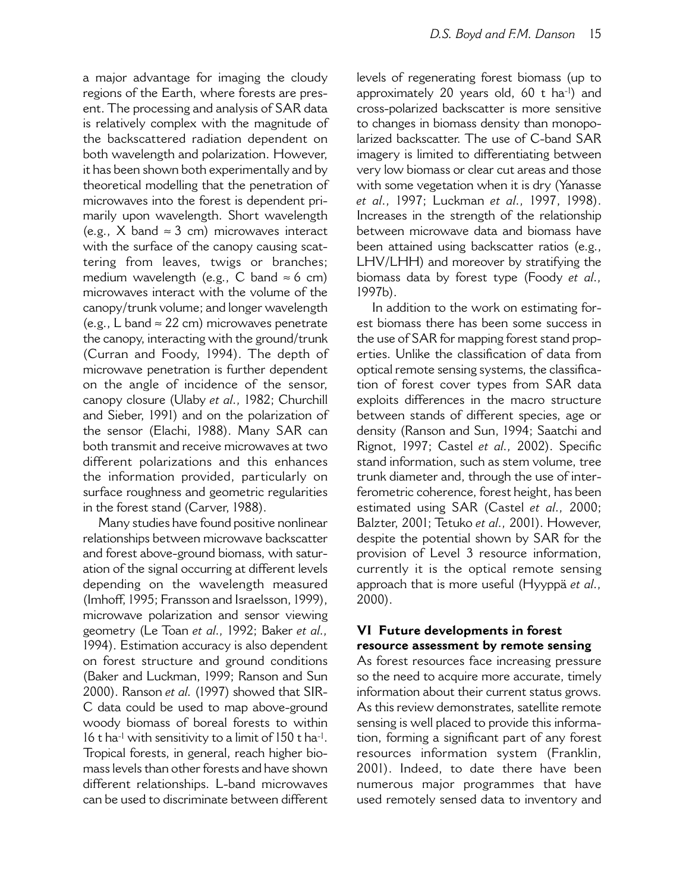a major advantage for imaging the cloudy regions of the Earth, where forests are present. The processing and analysis of SAR data is relatively complex with the magnitude of the backscattered radiation dependent on both wavelength and polarization. However. it has been shown both experimentally and by theoretical modelling that the penetration of microwaves into the forest is dependent primarily upon wavelength. Short wavelength (e.g., X band  $\approx 3$  cm) microwaves interact with the surface of the canopy causing scattering from leaves, twigs or branches; medium wavelength (e.g.,  $\tilde{C}$  band  $\approx$  6 cm) microwaves interact with the volume of the canopy/trunk volume; and longer wavelength (e.g., L band  $\approx$  22 cm) microwaves penetrate the canopy, interacting with the ground/trunk (Curran and Foody, 1994). The depth of microwave penetration is further dependent on the angle of incidence of the sensor, canopy closure (Ulaby et al., 1982; Churchill and Sieber, 1991) and on the polarization of the sensor (Elachi, 1988). Many SAR can both transmit and receive microwaves at two different polarizations and this enhances the information provided, particularly on surface roughness and geometric regularities in the forest stand (Carver, 1988).

Many studies have found positive nonlinear relationships between microwave backscatter and forest above-ground biomass, with saturation of the signal occurring at different levels depending on the wavelength measured (Imhoff, 1995; Fransson and Israelsson, 1999), microwave polarization and sensor viewing geometry (Le Toan et al., 1992; Baker et al., 1994). Estimation accuracy is also dependent on forest structure and ground conditions (Baker and Luckman, 1999; Ranson and Sun 2000). Ranson et al. (1997) showed that SIR-C data could be used to map above-ground woody biomass of boreal forests to within 16 t ha<sup>-1</sup> with sensitivity to a limit of 150 t ha<sup>-1</sup>. Tropical forests, in general, reach higher biomass levels than other forests and have shown different relationships. L-band microwaves can be used to discriminate between different levels of regenerating forest biomass (up to approximately 20 years old, 60 t ha-1) and cross-polarized backscatter is more sensitive to changes in biomass density than monopolarized backscatter. The use of C-band SAR imagery is limited to differentiating between very low biomass or clear cut areas and those with some vegetation when it is dry (Yanasse et al., 1997; Luckman et al., 1997, 1998). Increases in the strength of the relationship between microwave data and biomass have been attained using backscatter ratios (e.g., LHV/LHH) and moreover by stratifying the biomass data by forest type (Foody et al., 1997b).

In addition to the work on estimating forest biomass there has been some success in the use of SAR for mapping forest stand properties. Unlike the classification of data from optical remote sensing systems, the classification of forest cover types from SAR data exploits differences in the macro structure between stands of different species, age or density (Ranson and Sun, 1994; Saatchi and Rignot, 1997; Castel et al., 2002). Specific stand information, such as stem volume, tree trunk diameter and, through the use of interferometric coherence, forest height, has been estimated using SAR (Castel et al., 2000; Balzter, 2001; Tetuko et al., 2001). However, despite the potential shown by SAR for the provision of Level 3 resource information, currently it is the optical remote sensing approach that is more useful (Hyyppä et al.,  $2000$ ).

### VI Future developments in forest resource assessment by remote sensing

As forest resources face increasing pressure so the need to acquire more accurate, timely information about their current status grows. As this review demonstrates, satellite remote sensing is well placed to provide this information, forming a significant part of any forest resources information system (Franklin, 2001). Indeed, to date there have been numerous major programmes that have used remotely sensed data to inventory and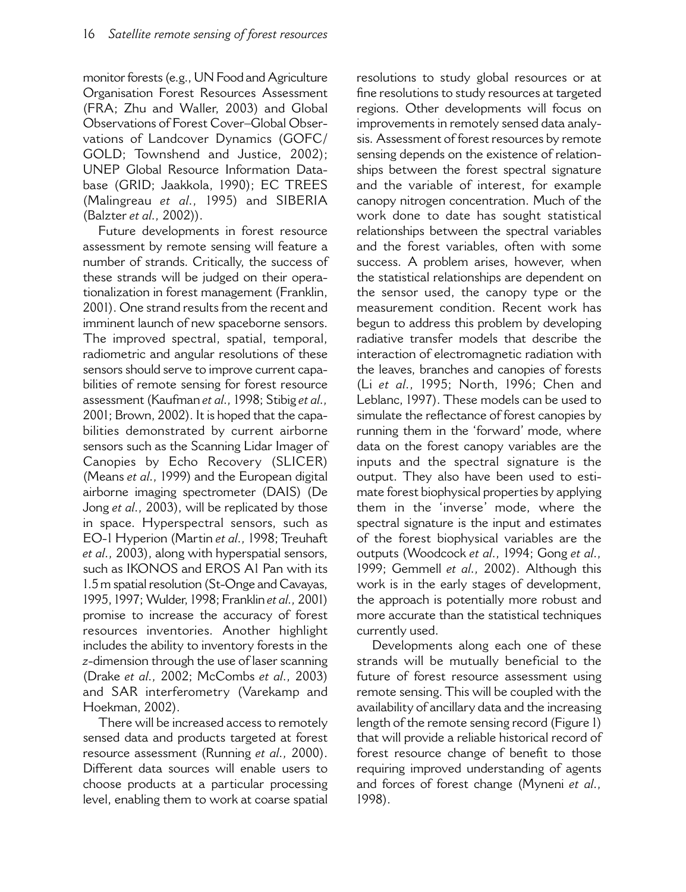monitor forests (e.g., UN Food and Agriculture Organisation Forest Resources Assessment (FRA; Zhu and Waller, 2003) and Global Observations of Forest Cover-Global Observations of Landcover Dynamics (GOFC/ GOLD; Townshend and Justice, 2002); UNEP Global Resource Information Database (GRID; Jaakkola, 1990); EC TREES (Malingreau et al., 1995) and SIBERIA (Balzter et al., 2002)).

Future developments in forest resource assessment by remote sensing will feature a number of strands. Critically, the success of these strands will be judged on their operationalization in forest management (Franklin, 2001). One strand results from the recent and imminent launch of new spaceborne sensors. The improved spectral, spatial, temporal, radiometric and angular resolutions of these sensors should serve to improve current capabilities of remote sensing for forest resource assessment (Kaufman et al., 1998; Stibig et al., 2001; Brown, 2002). It is hoped that the capabilities demonstrated by current airborne sensors such as the Scanning Lidar Imager of Canopies by Echo Recovery (SLICER) (Means et al., 1999) and the European digital airborne imaging spectrometer (DAIS) (De Jong et al., 2003), will be replicated by those in space. Hyperspectral sensors, such as EO-1 Hyperion (Martin et al., 1998; Treuhaft et al., 2003), along with hyperspatial sensors, such as IKONOS and EROS A1 Pan with its 1.5 m spatial resolution (St-Onge and Cavayas, 1995, 1997; Wulder, 1998; Franklin et al., 2001) promise to increase the accuracy of forest resources inventories. Another highlight includes the ability to inventory forests in the z-dimension through the use of laser scanning (Drake et al., 2002; McCombs et al., 2003) and SAR interferometry (Varekamp and Hoekman, 2002).

There will be increased access to remotely sensed data and products targeted at forest resource assessment (Running et al., 2000). Different data sources will enable users to choose products at a particular processing level, enabling them to work at coarse spatial resolutions to study global resources or at fine resolutions to study resources at targeted regions. Other developments will focus on improvements in remotely sensed data analysis. Assessment of forest resources by remote sensing depends on the existence of relationships between the forest spectral signature and the variable of interest, for example canopy nitrogen concentration. Much of the work done to date has sought statistical relationships between the spectral variables and the forest variables, often with some success. A problem arises, however, when the statistical relationships are dependent on the sensor used, the canopy type or the measurement condition. Recent work has begun to address this problem by developing radiative transfer models that describe the interaction of electromagnetic radiation with the leaves, branches and canopies of forests (Li et al., 1995; North, 1996; Chen and Leblanc, 1997). These models can be used to simulate the reflectance of forest canopies by running them in the 'forward' mode, where data on the forest canopy variables are the inputs and the spectral signature is the output. They also have been used to estimate forest biophysical properties by applying them in the 'inverse' mode, where the spectral signature is the input and estimates of the forest biophysical variables are the outputs (Woodcock et al., 1994; Gong et al., 1999; Gemmell et al., 2002). Although this work is in the early stages of development, the approach is potentially more robust and more accurate than the statistical techniques currently used.

Developments along each one of these strands will be mutually beneficial to the future of forest resource assessment using remote sensing. This will be coupled with the availability of ancillary data and the increasing length of the remote sensing record (Figure 1) that will provide a reliable historical record of forest resource change of benefit to those requiring improved understanding of agents and forces of forest change (Myneni et al., 1998).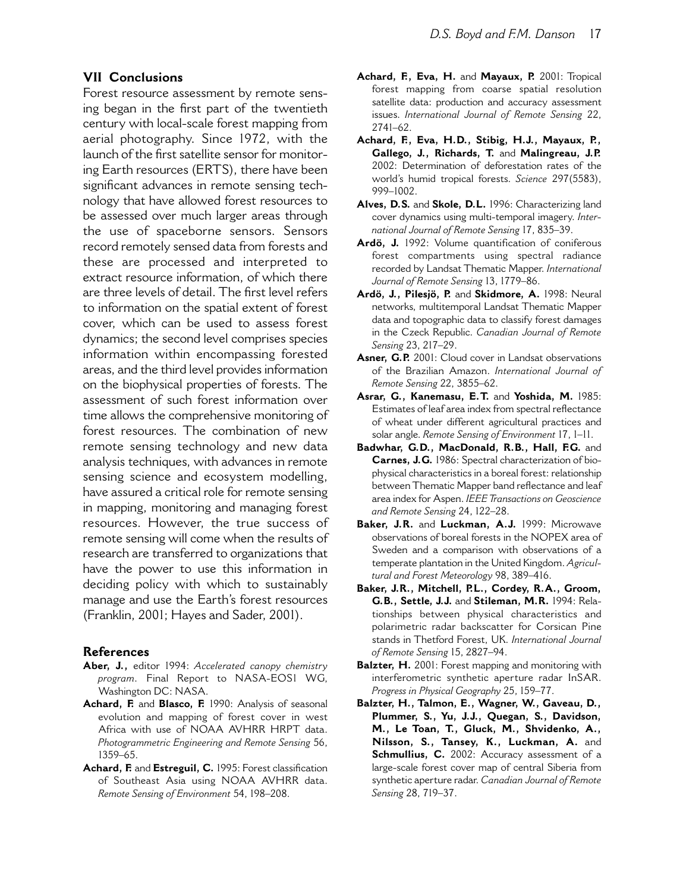#### **VII** Conclusions

Forest resource assessment by remote sensing began in the first part of the twentieth century with local-scale forest mapping from aerial photography. Since 1972, with the launch of the first satellite sensor for monitoring Earth resources (ERTS), there have been significant advances in remote sensing technology that have allowed forest resources to be assessed over much larger areas through the use of spaceborne sensors. Sensors record remotely sensed data from forests and these are processed and interpreted to extract resource information, of which there are three levels of detail. The first level refers to information on the spatial extent of forest cover, which can be used to assess forest dynamics; the second level comprises species information within encompassing forested areas, and the third level provides information on the biophysical properties of forests. The assessment of such forest information over time allows the comprehensive monitoring of forest resources. The combination of new remote sensing technology and new data analysis techniques, with advances in remote sensing science and ecosystem modelling, have assured a critical role for remote sensing in mapping, monitoring and managing forest resources. However, the true success of remote sensing will come when the results of research are transferred to organizations that have the power to use this information in deciding policy with which to sustainably manage and use the Earth's forest resources (Franklin, 2001; Hayes and Sader, 2001).

#### **References**

- Aber, J., editor 1994: Accelerated canopy chemistry program. Final Report to NASA-EOSI WG, Washington DC: NASA.
- Achard, F. and Blasco, F. 1990: Analysis of seasonal evolution and mapping of forest cover in west Africa with use of NOAA AVHRR HRPT data. Photogrammetric Engineering and Remote Sensing 56, 1359-65.
- Achard, F. and Estreguil, C. 1995: Forest classification of Southeast Asia using NOAA AVHRR data. Remote Sensing of Environment 54, 198-208.
- Achard, F., Eva, H. and Mayaux, P. 2001: Tropical forest mapping from coarse spatial resolution satellite data: production and accuracy assessment issues. International Journal of Remote Sensing 22, 2741-62.
- Achard, F., Eva, H.D., Stibig, H.J., Mayaux, P., Gallego, J., Richards, T. and Malingreau, J.P. 2002: Determination of deforestation rates of the world's humid tropical forests. Science 297(5583), 999-1002.
- Alves, D.S. and Skole, D.L. 1996: Characterizing land cover dynamics using multi-temporal imagery. International Journal of Remote Sensing 17, 835-39.
- Ardö, J. 1992: Volume quantification of coniferous forest compartments using spectral radiance recorded by Landsat Thematic Mapper. International Journal of Remote Sensing 13, 1779-86.
- Ardö, J., Pilesjö, P. and Skidmore, A. 1998: Neural networks, multitemporal Landsat Thematic Mapper data and topographic data to classify forest damages in the Czeck Republic. Canadian Journal of Remote Sensing 23, 217-29.
- Asner, G.P. 2001: Cloud cover in Landsat observations of the Brazilian Amazon. International Journal of Remote Sensing 22, 3855-62.
- Asrar, G., Kanemasu, E.T. and Yoshida, M. 1985: Estimates of leaf area index from spectral reflectance of wheat under different agricultural practices and solar angle. Remote Sensing of Environment 17, 1-11.
- Badwhar, G.D., MacDonald, R.B., Hall, F.G. and Carnes, J.G. 1986: Spectral characterization of biophysical characteristics in a boreal forest: relationship between Thematic Mapper band reflectance and leaf area index for Aspen. IEEE Transactions on Geoscience and Remote Sensing 24, 122-28.
- Baker, J.R. and Luckman, A.J. 1999: Microwave observations of boreal forests in the NOPEX area of Sweden and a comparison with observations of a temperate plantation in the United Kingdom. Agricultural and Forest Meteorology 98, 389-416.
- Baker, J.R., Mitchell, P.L., Cordey, R.A., Groom, G.B., Settle, J.J. and Stileman, M.R. 1994: Relationships between physical characteristics and polarimetric radar backscatter for Corsican Pine stands in Thetford Forest, UK. International Journal of Remote Sensing 15, 2827-94.
- Balzter, H. 2001: Forest mapping and monitoring with interferometric synthetic aperture radar InSAR. Progress in Physical Geography 25, 159-77.
- Balzter, H., Talmon, E., Wagner, W., Gaveau, D., Plummer, S., Yu, J.J., Quegan, S., Davidson, M., Le Toan, T., Gluck, M., Shvidenko, A., Nilsson, S., Tansey, K., Luckman, A. and Schmullius, C. 2002: Accuracy assessment of a large-scale forest cover map of central Siberia from synthetic aperture radar. Canadian Journal of Remote Sensing 28, 719-37.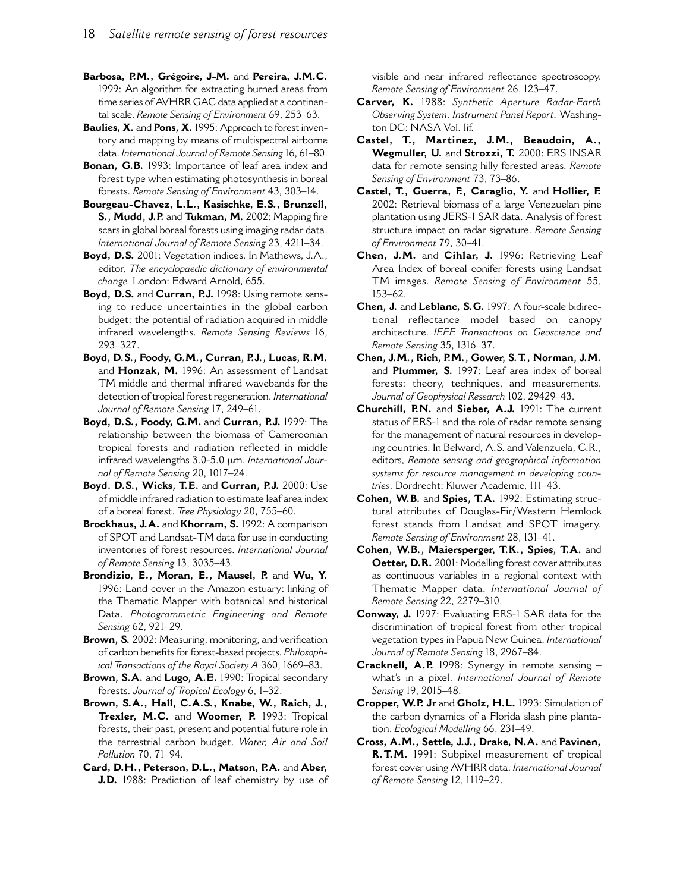- Barbosa, P.M., Grégoire, J-M. and Pereira, J.M.C. 1999: An algorithm for extracting burned areas from time series of AVHRR GAC data applied at a continental scale. Remote Sensing of Environment 69, 253-63.
- Baulies, X. and Pons, X. 1995: Approach to forest inventory and mapping by means of multispectral airborne data. International Journal of Remote Sensing 16, 61-80.
- Bonan, G.B. 1993: Importance of leaf area index and forest type when estimating photosynthesis in boreal forests. Remote Sensing of Environment 43, 303-14.
- Bourgeau-Chavez, L.L., Kasischke, E.S., Brunzell, S., Mudd, J.P. and Tukman, M. 2002: Mapping fire scars in global boreal forests using imaging radar data. International Journal of Remote Sensing 23, 4211-34.
- Boyd, D.S. 2001: Vegetation indices. In Mathews, J.A., editor, The encyclopaedic dictionary of environmental change. London: Edward Arnold, 655.
- Boyd, D.S. and Curran, P.J. 1998: Using remote sensing to reduce uncertainties in the global carbon budget: the potential of radiation acquired in middle infrared wavelengths. Remote Sensing Reviews 16, 293-327.
- Boyd, D.S., Foody, G.M., Curran, P.J., Lucas, R.M. and Honzak, M. 1996: An assessment of Landsat TM middle and thermal infrared wavebands for the detection of tropical forest regeneration. International Journal of Remote Sensing 17, 249-61.
- Boyd, D.S., Foody, G.M. and Curran, P.J. 1999: The relationship between the biomass of Cameroonian tropical forests and radiation reflected in middle infrared wavelengths 3.0-5.0 µm. International Journal of Remote Sensing 20, 1017-24.
- Boyd. D.S., Wicks, T.E. and Curran, P.J. 2000: Use of middle infrared radiation to estimate leaf area index of a boreal forest. Tree Physiology 20, 755-60.
- Brockhaus, J.A. and Khorram, S. 1992: A comparison of SPOT and Landsat-TM data for use in conducting inventories of forest resources. International Journal of Remote Sensing 13, 3035-43.
- Brondizio, E., Moran, E., Mausel, P. and Wu, Y. 1996: Land cover in the Amazon estuary: linking of the Thematic Mapper with botanical and historical Data. Photogrammetric Engineering and Remote Sensing 62, 921-29.
- Brown, S. 2002: Measuring, monitoring, and verification of carbon benefits for forest-based projects. Philosophical Transactions of the Royal Society A 360, 1669-83.
- Brown, S.A. and Lugo, A.E. 1990: Tropical secondary forests. Journal of Tropical Ecology 6, 1-32.
- Brown, S.A., Hall, C.A.S., Knabe, W., Raich, J., Trexler, M.C. and Woomer, P. 1993: Tropical forests, their past, present and potential future role in the terrestrial carbon budget. Water, Air and Soil Pollution 70, 71-94.
- Card, D.H., Peterson, D.L., Matson, P.A. and Aber, J.D. 1988: Prediction of leaf chemistry by use of

visible and near infrared reflectance spectroscopy. Remote Sensing of Environment 26, 123-47.

- Carver, K. 1988: Synthetic Aperture Radar-Earth Observing System. Instrument Panel Report. Washington DC: NASA Vol. lif.
- Castel, T., Martinez, J.M., Beaudoin, A., Wegmuller, U. and Strozzi, T. 2000: ERS INSAR data for remote sensing hilly forested areas. Remote Sensing of Environment 73, 73-86.
- Castel, T., Guerra, F., Caraglio, Y. and Hollier, F. 2002: Retrieval biomass of a large Venezuelan pine plantation using JERS-1 SAR data. Analysis of forest structure impact on radar signature. Remote Sensing of Environment 79, 30-41.
- Chen, J.M. and Cihlar, J. 1996: Retrieving Leaf Area Index of boreal conifer forests using Landsat TM images. Remote Sensing of Environment 55,  $153 - 62$ .
- Chen, J. and Leblanc, S.G. 1997: A four-scale bidirectional reflectance model based on canopy architecture. IEEE Transactions on Geoscience and Remote Sensing 35, 1316-37.
- Chen, J.M., Rich, P.M., Gower, S.T., Norman, J.M. and Plummer, S. 1997: Leaf area index of boreal forests: theory, techniques, and measurements. Journal of Geophysical Research 102, 29429-43.
- Churchill, P.N. and Sieber, A.J. 1991: The current status of ERS-1 and the role of radar remote sensing for the management of natural resources in developing countries. In Belward, A.S. and Valenzuela, C.R., editors, Remote sensing and geographical information systems for resource management in developing countries. Dordrecht: Kluwer Academic, 111-43.
- Cohen, W.B. and Spies, T.A. 1992: Estimating structural attributes of Douglas-Fir/Western Hemlock forest stands from Landsat and SPOT imagery. Remote Sensing of Environment 28, 131-41.
- Cohen, W.B., Maiersperger, T.K., Spies, T.A. and Oetter, D.R. 2001: Modelling forest cover attributes as continuous variables in a regional context with Thematic Mapper data. International Journal of Remote Sensing 22, 2279-310.
- Conway, J. 1997: Evaluating ERS-1 SAR data for the discrimination of tropical forest from other tropical vegetation types in Papua New Guinea. International Journal of Remote Sensing 18, 2967-84.
- **Cracknell, A.P.** 1998: Synergy in remote sensing what's in a pixel. International Journal of Remote Sensing 19, 2015-48.
- Cropper, W.P. Jr and Gholz, H.L. 1993: Simulation of the carbon dynamics of a Florida slash pine plantation. Ecological Modelling 66, 231-49.
- Cross, A.M., Settle, J.J., Drake, N.A. and Pavinen, R.T.M. 1991: Subpixel measurement of tropical forest cover using AVHRR data. International Journal of Remote Sensing 12, 1119-29.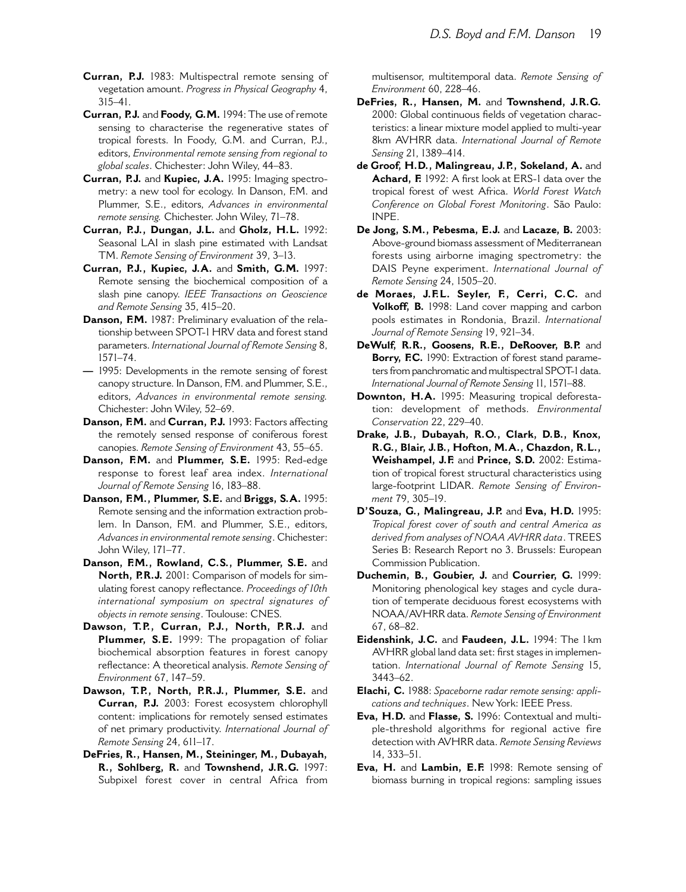- Curran, P.J. 1983: Multispectral remote sensing of vegetation amount. Progress in Physical Geography 4,  $315 - 41$ .
- Curran, P.J. and Foody, G.M. 1994: The use of remote sensing to characterise the regenerative states of tropical forests. In Foody, G.M. and Curran, P.J., editors, Environmental remote sensing from regional to global scales. Chichester: John Wiley, 44-83.
- Curran, P.J. and Kupiec, J.A. 1995: Imaging spectrometry: a new tool for ecology. In Danson, F.M. and Plummer, S.E., editors, Advances in environmental remote sensing. Chichester. John Wiley, 71-78.
- Curran, P.J., Dungan, J.L. and Gholz, H.L. 1992: Seasonal LAI in slash pine estimated with Landsat TM. Remote Sensing of Environment 39, 3-13.
- Curran, P.J., Kupiec, J.A. and Smith, G.M. 1997: Remote sensing the biochemical composition of a slash pine canopy. IEEE Transactions on Geoscience and Remote Sensing 35, 415-20.
- Danson, F.M. 1987: Preliminary evaluation of the relationship between SPOT-1 HRV data and forest stand parameters. International Journal of Remote Sensing 8.  $1571 - 74.$
- 1995: Developments in the remote sensing of forest canopy structure. In Danson, F.M. and Plummer, S.E., editors, Advances in environmental remote sensing. Chichester: John Wiley, 52-69.
- Danson, F.M. and Curran, P.J. 1993: Factors affecting the remotely sensed response of coniferous forest canopies. Remote Sensing of Environment 43, 55-65.
- Danson, F.M. and Plummer, S.E. 1995: Red-edge response to forest leaf area index. International Journal of Remote Sensing 16, 183-88.
- Danson, F.M., Plummer, S.E. and Briggs, S.A. 1995: Remote sensing and the information extraction problem. In Danson, F.M. and Plummer, S.E., editors, Advances in environmental remote sensing. Chichester: John Wiley, 171-77.
- Danson, F.M., Rowland, C.S., Plummer, S.E. and North, P.R.J. 2001: Comparison of models for simulating forest canopy reflectance. Proceedings of 10th international symposium on spectral signatures of objects in remote sensing. Toulouse: CNES.
- Dawson, T.P., Curran, P.J., North, P.R.J. and Plummer, S.E. 1999: The propagation of foliar biochemical absorption features in forest canopy reflectance: A theoretical analysis. Remote Sensing of Environment 67, 147-59.
- Dawson, T.P., North, P.R.J., Plummer, S.E. and Curran, P.J. 2003: Forest ecosystem chlorophyll content: implications for remotely sensed estimates of net primary productivity. International Journal of Remote Sensing 24, 611-17.
- DeFries, R., Hansen, M., Steininger, M., Dubayah, R., Sohlberg, R. and Townshend, J.R.G. 1997: Subpixel forest cover in central Africa from

multisensor, multitemporal data. Remote Sensing of Environment 60, 228-46.

- DeFries, R., Hansen, M. and Townshend, J.R.G. 2000: Global continuous fields of vegetation characteristics: a linear mixture model applied to multi-year 8km AVHRR data. International Journal of Remote Sensing 21, 1389-414.
- de Groof, H.D., Malingreau, J.P., Sokeland, A. and Achard, F. 1992: A first look at ERS-1 data over the tropical forest of west Africa. World Forest Watch Conference on Global Forest Monitoring. São Paulo: INPE.
- De Jong, S.M., Pebesma, E.J. and Lacaze, B. 2003: Above-ground biomass assessment of Mediterranean forests using airborne imaging spectrometry: the DAIS Peyne experiment. International Journal of Remote Sensing 24, 1505-20.
- de Moraes, J.F.L. Seyler, F., Cerri, C.C. and Volkoff, B. 1998: Land cover mapping and carbon pools estimates in Rondonia, Brazil. International Journal of Remote Sensing 19, 921-34.
- DeWulf, R.R., Goosens, R.E., DeRoover, B.P. and Borry, F.C. 1990: Extraction of forest stand parameters from panchromatic and multispectral SPOT-1 data. International Journal of Remote Sensing 11, 1571-88.
- Downton, H.A. 1995: Measuring tropical deforestation: development of methods. Environmental Conservation 22, 229-40.
- Drake, J.B., Dubayah, R.O., Clark, D.B., Knox, R.G., Blair, J.B., Hofton, M.A., Chazdon, R.L., Weishampel, J.F. and Prince, S.D. 2002: Estimation of tropical forest structural characteristics using large-footprint LIDAR. Remote Sensing of Environment 79, 305-19.
- D'Souza, G., Malingreau, J.P. and Eva, H.D. 1995: Tropical forest cover of south and central America as derived from analyses of NOAA AVHRR data, TREES Series B: Research Report no 3. Brussels: European Commission Publication.
- Duchemin, B., Goubier, J. and Courrier, G. 1999: Monitoring phenological key stages and cycle duration of temperate deciduous forest ecosystems with NOAA/AVHRR data. Remote Sensing of Environment  $67.68 - 82.$
- Eidenshink, J.C. and Faudeen, J.L. 1994: The 1km AVHRR global land data set: first stages in implementation. International Journal of Remote Sensing 15,  $3443 - 62$ .
- Elachi, C. 1988: Spaceborne radar remote sensing: applications and techniques. New York: IEEE Press.
- Eva, H.D. and Flasse, S. 1996: Contextual and multiple-threshold algorithms for regional active fire detection with AVHRR data. Remote Sensing Reviews  $14.333 - 51.$
- Eva, H. and Lambin, E.F. 1998: Remote sensing of biomass burning in tropical regions: sampling issues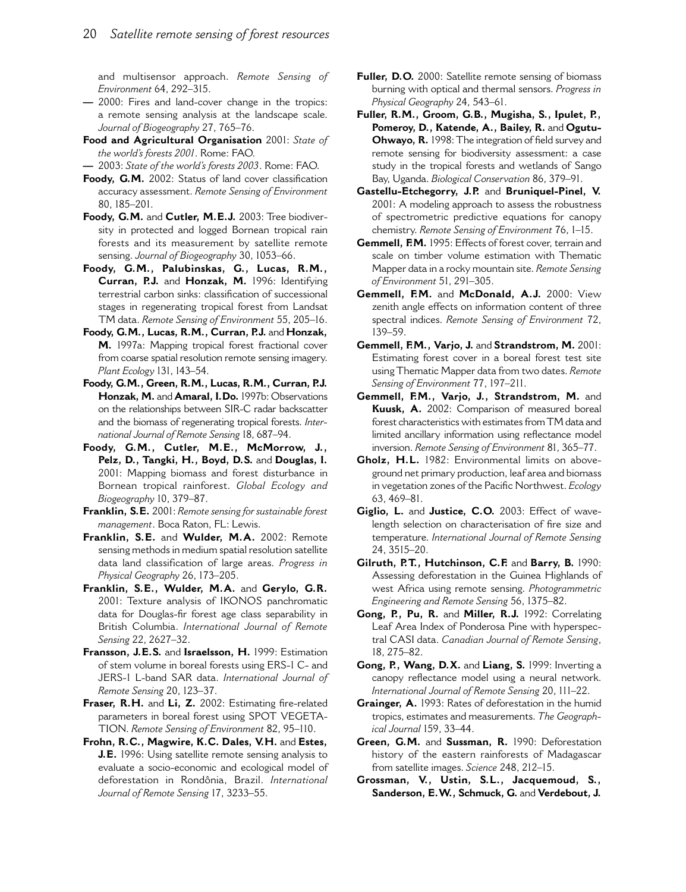and multisensor approach. Remote Sensing of Environment 64, 292-315.

- 2000: Fires and land-cover change in the tropics: a remote sensing analysis at the landscape scale. Journal of Biogeography 27, 765-76.
- Food and Agricultural Organisation 2001: State of the world's forests 2001. Rome: FAO.
- 2003: State of the world's forests 2003. Rome: FAO.
- Foody, G.M. 2002: Status of land cover classification accuracy assessment. Remote Sensing of Environment 80, 185-201.
- Foody, G.M. and Cutler, M.E.J. 2003: Tree biodiversity in protected and logged Bornean tropical rain forests and its measurement by satellite remote sensing. Journal of Biogeography 30, 1053-66.
- Foody, G.M., Palubinskas, G., Lucas, R.M., Curran, P.J. and Honzak, M. 1996: Identifying terrestrial carbon sinks: classification of successional stages in regenerating tropical forest from Landsat TM data. Remote Sensing of Environment 55, 205-16.
- Foody, G.M., Lucas, R.M., Curran, P.J. and Honzak, M. 1997a: Mapping tropical forest fractional cover from coarse spatial resolution remote sensing imagery. Plant Ecology 131, 143-54.
- Foody, G.M., Green, R.M., Lucas, R.M., Curran, P.J. Honzak, M. and Amaral, I.Do. 1997b: Observations on the relationships between SIR-C radar backscatter and the biomass of regenerating tropical forests. International Journal of Remote Sensing 18, 687-94.
- Foody, G.M., Cutler, M.E., McMorrow, J., Pelz, D., Tangki, H., Boyd, D.S. and Douglas, I. 2001: Mapping biomass and forest disturbance in Bornean tropical rainforest. Global Ecology and Biogeography 10, 379-87.
- Franklin, S.E. 2001: Remote sensing for sustainable forest management. Boca Raton, FL: Lewis.
- Franklin, S.E. and Wulder, M.A. 2002: Remote sensing methods in medium spatial resolution satellite data land classification of large areas. Progress in Physical Geography 26, 173-205.
- Franklin, S.E., Wulder, M.A. and Gerylo, G.R. 2001: Texture analysis of IKONOS panchromatic data for Douglas-fir forest age class separability in British Columbia. International Journal of Remote Sensing 22, 2627-32.
- Fransson, J.E.S. and Israelsson, H. 1999: Estimation of stem volume in boreal forests using ERS-1 C- and JERS-1 L-band SAR data. International Journal of Remote Sensing 20, 123-37.
- Fraser, R.H. and Li, Z. 2002: Estimating fire-related parameters in boreal forest using SPOT VEGETA-TION. Remote Sensing of Environment 82, 95-110.
- Frohn, R.C., Magwire, K.C. Dales, V.H. and Estes, J.E. 1996: Using satellite remote sensing analysis to evaluate a socio-economic and ecological model of deforestation in Rondônia, Brazil. International Journal of Remote Sensing 17, 3233-55.
- Fuller, D.O. 2000: Satellite remote sensing of biomass burning with optical and thermal sensors. Progress in Physical Geography 24, 543-61.
- Fuller, R.M., Groom, G.B., Mugisha, S., Ipulet, P., Pomeroy, D., Katende, A., Bailey, R. and Ogutu-Ohwayo, R. 1998: The integration of field survey and remote sensing for biodiversity assessment: a case study in the tropical forests and wetlands of Sango Bay, Uganda. Biological Conservation 86, 379-91.
- Gastellu-Etchegorry, J.P. and Bruniquel-Pinel, V. 2001: A modeling approach to assess the robustness of spectrometric predictive equations for canopy chemistry. Remote Sensing of Environment 76, 1-15.
- Gemmell, F.M. 1995: Effects of forest cover, terrain and scale on timber volume estimation with Thematic Mapper data in a rocky mountain site. Remote Sensing of Environment 51, 291-305.
- Gemmell, F.M. and McDonald, A.J. 2000: View zenith angle effects on information content of three spectral indices. Remote Sensing of Environment 72,  $139 - 59$ .
- Gemmell, F.M., Vario, J. and Strandstrom, M. 2001: Estimating forest cover in a boreal forest test site using Thematic Mapper data from two dates. Remote Sensing of Environment 77, 197-211.
- Gemmell, F.M., Varjo, J., Strandstrom, M. and Kuusk, A. 2002: Comparison of measured boreal forest characteristics with estimates from TM data and limited ancillary information using reflectance model inversion. Remote Sensing of Environment 81, 365-77.
- Gholz, H.L. 1982: Environmental limits on aboveground net primary production, leaf area and biomass in vegetation zones of the Pacific Northwest. Ecology 63.469-81.
- Giglio, L. and Justice, C.O. 2003: Effect of wavelength selection on characterisation of fire size and temperature. International Journal of Remote Sensing 24, 3515-20.
- Gilruth, P.T., Hutchinson, C.F. and Barry, B. 1990: Assessing deforestation in the Guinea Highlands of west Africa using remote sensing. Photogrammetric Engineering and Remote Sensing 56, 1375-82.
- Gong, P., Pu, R. and Miller, R.J. 1992: Correlating Leaf Area Index of Ponderosa Pine with hyperspectral CASI data. Canadian Journal of Remote Sensing, 18, 275-82.
- Gong, P., Wang, D.X. and Liang, S. 1999: Inverting a canopy reflectance model using a neural network. International Journal of Remote Sensing 20, 111-22.
- Grainger, A. 1993: Rates of deforestation in the humid tropics, estimates and measurements. The Geographical Journal 159, 33-44.
- Green, G.M. and Sussman, R. 1990: Deforestation history of the eastern rainforests of Madagascar from satellite images. Science 248, 212-15.
- Grossman, V., Ustin, S.L., Jacquemoud, S., Sanderson, E.W., Schmuck, G. and Verdebout, J.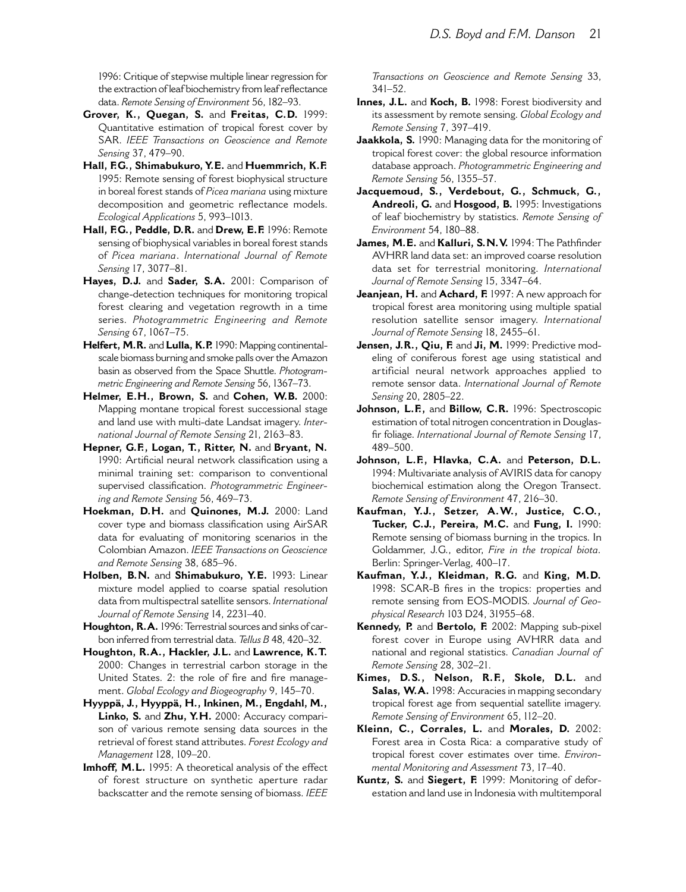1996: Critique of stepwise multiple linear regression for the extraction of leaf biochemistry from leaf reflectance data. Remote Sensing of Environment 56, 182-93.

- Grover, K., Ouegan, S. and Freitas, C.D. 1999: Quantitative estimation of tropical forest cover by SAR. IEEE Transactions on Geoscience and Remote Sensing 37, 479-90.
- Hall, F.G., Shimabukuro, Y.E. and Huemmrich, K.F. 1995: Remote sensing of forest biophysical structure in boreal forest stands of Picea mariana using mixture decomposition and geometric reflectance models. Ecological Applications 5, 993-1013.
- Hall, F.G., Peddle, D.R. and Drew, E.F. 1996: Remote sensing of biophysical variables in boreal forest stands of Picea mariana. International Journal of Remote Sensing 17, 3077-81.
- Hayes, D.J. and Sader, S.A. 2001: Comparison of change-detection techniques for monitoring tropical forest clearing and vegetation regrowth in a time series. Photogrammetric Engineering and Remote Sensing 67, 1067-75.
- Helfert, M.R. and Lulla, K.P. 1990: Mapping continentalscale biomass burning and smoke palls over the Amazon basin as observed from the Space Shuttle. Photogrammetric Engineering and Remote Sensing 56, 1367–73.
- Helmer, E.H., Brown, S. and Cohen, W.B. 2000: Mapping montane tropical forest successional stage and land use with multi-date Landsat imagery. International Journal of Remote Sensing 21, 2163-83.
- Hepner, G.F., Logan, T., Ritter, N. and Bryant, N. 1990: Artificial neural network classification using a minimal training set: comparison to conventional supervised classification. Photogrammetric Engineering and Remote Sensing 56, 469-73.
- Hoekman, D.H. and Quinones, M.J. 2000: Land cover type and biomass classification using AirSAR data for evaluating of monitoring scenarios in the Colombian Amazon. IEEE Transactions on Geoscience and Remote Sensing 38, 685-96.
- Holben, B.N. and Shimabukuro, Y.E. 1993: Linear mixture model applied to coarse spatial resolution data from multispectral satellite sensors. International Journal of Remote Sensing 14, 2231-40.
- Houghton, R.A. 1996: Terrestrial sources and sinks of carbon inferred from terrestrial data. Tellus B 48, 420-32.
- Houghton, R.A., Hackler, J.L. and Lawrence, K.T. 2000: Changes in terrestrial carbon storage in the United States. 2: the role of fire and fire management. Global Ecology and Biogeography 9, 145-70.
- Hyyppä, J., Hyyppä, H., Inkinen, M., Engdahl, M., Linko, S. and Zhu, Y.H. 2000: Accuracy comparison of various remote sensing data sources in the retrieval of forest stand attributes. Forest Ecology and Management 128, 109-20.
- Imhoff, M.L. 1995: A theoretical analysis of the effect of forest structure on synthetic aperture radar backscatter and the remote sensing of biomass. IEEE

Transactions on Geoscience and Remote Sensing 33,  $341 - 52$ .

- Innes, J.L. and Koch, B. 1998: Forest biodiversity and its assessment by remote sensing. Global Ecology and Remote Sensing 7, 397-419.
- Jaakkola, S. 1990: Managing data for the monitoring of tropical forest cover: the global resource information database approach. Photogrammetric Engineering and Remote Sensing 56, 1355-57.
- Jacquemoud, S., Verdebout, G., Schmuck, G., Andreoli, G. and Hosgood, B. 1995: Investigations of leaf biochemistry by statistics. Remote Sensing of Environment 54, 180-88.
- James, M.E. and Kalluri, S.N.V. 1994: The Pathfinder AVHRR land data set: an improved coarse resolution data set for terrestrial monitoring. International Journal of Remote Sensing 15, 3347-64.
- Jeanjean, H. and Achard, F. 1997: A new approach for tropical forest area monitoring using multiple spatial resolution satellite sensor imagery. International Journal of Remote Sensing 18, 2455-61.
- Jensen, J.R., Oiu. F. and Ji. M. 1999: Predictive modeling of coniferous forest age using statistical and artificial neural network approaches applied to remote sensor data. International Journal of Remote Sensing 20, 2805-22.
- Johnson, L.F., and Billow, C.R. 1996: Spectroscopic estimation of total nitrogen concentration in Douglasfir foliage. International Journal of Remote Sensing 17, 489-500.
- Johnson, L.F., Hlavka, C.A. and Peterson, D.L. 1994: Multivariate analysis of AVIRIS data for canopy biochemical estimation along the Oregon Transect. Remote Sensing of Environment 47, 216-30.
- Kaufman, Y.J., Setzer, A.W., Justice, C.O., Tucker, C.J., Pereira, M.C. and Fung, I. 1990: Remote sensing of biomass burning in the tropics. In Goldammer, J.G., editor, Fire in the tropical biota. Berlin: Springer-Verlag, 400-17.
- Kaufman, Y.J., Kleidman, R.G. and King, M.D. 1998: SCAR-B fires in the tropics: properties and remote sensing from EOS-MODIS. Journal of Geophysical Research 103 D24, 31955-68.
- Kennedy, P. and Bertolo, F. 2002: Mapping sub-pixel forest cover in Europe using AVHRR data and national and regional statistics. Canadian Journal of Remote Sensing 28, 302-21.
- Kimes, D.S., Nelson, R.F., Skole, D.L. and Salas, W.A. 1998: Accuracies in mapping secondary tropical forest age from sequential satellite imagery. Remote Sensing of Environment 65, 112-20.
- Kleinn, C., Corrales, L. and Morales, D. 2002: Forest area in Costa Rica: a comparative study of tropical forest cover estimates over time. Environmental Monitoring and Assessment 73, 17-40.
- Kuntz, S. and Siegert, F. 1999: Monitoring of deforestation and land use in Indonesia with multitemporal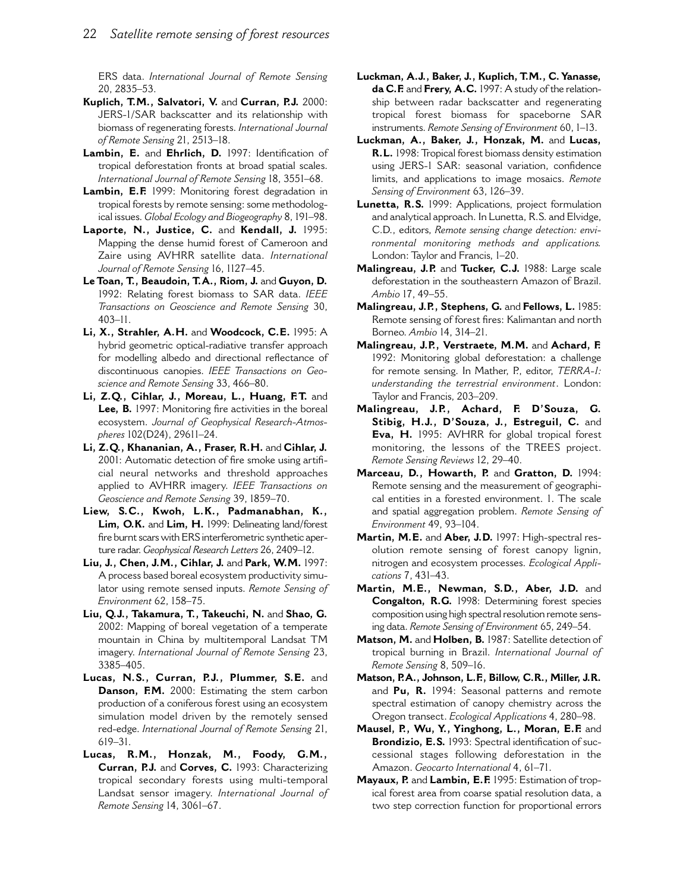ERS data. International Journal of Remote Sensing 20, 2835-53.

- Kuplich, T.M., Salvatori, V. and Curran, P.J. 2000: JERS-1/SAR backscatter and its relationship with biomass of regenerating forests. International Journal of Remote Sensing 21, 2513-18.
- Lambin, E. and Ehrlich, D. 1997: Identification of tropical deforestation fronts at broad spatial scales. International Journal of Remote Sensing 18, 3551-68.
- Lambin, E.F. 1999: Monitoring forest degradation in tropical forests by remote sensing: some methodological issues. Global Ecology and Biogeography 8, 191-98.
- Laporte, N., Justice, C. and Kendall, J. 1995: Mapping the dense humid forest of Cameroon and Zaire using AVHRR satellite data. International Journal of Remote Sensing 16, 1127-45.
- Le Toan, T., Beaudoin, T.A., Riom, J. and Guyon, D. 1992: Relating forest biomass to SAR data. IEEE Transactions on Geoscience and Remote Sensing 30,  $403 - 11.$
- Li, X., Strahler, A.H. and Woodcock, C.E. 1995: A hybrid geometric optical-radiative transfer approach for modelling albedo and directional reflectance of discontinuous canopies. IEEE Transactions on Geoscience and Remote Sensing 33, 466-80.
- Li, Z.Q., Cihlar, J., Moreau, L., Huang, F.T. and Lee, B. 1997: Monitoring fire activities in the boreal ecosystem. Journal of Geophysical Research-Atmospheres 102(D24), 29611-24.
- Li, Z.Q., Khananian, A., Fraser, R.H. and Cihlar, J. 2001: Automatic detection of fire smoke using artificial neural networks and threshold approaches applied to AVHRR imagery. IEEE Transactions on Geoscience and Remote Sensing 39, 1859-70.
- Liew, S.C., Kwoh, L.K., Padmanabhan, K., Lim, O.K. and Lim, H. 1999: Delineating land/forest fire burnt scars with ERS interferometric synthetic aperture radar. Geophysical Research Letters 26, 2409-12.
- Liu, J., Chen, J.M., Cihlar, J. and Park, W.M. 1997: A process based boreal ecosystem productivity simulator using remote sensed inputs. Remote Sensing of Environment 62, 158-75.
- Liu, Q.J., Takamura, T., Takeuchi, N. and Shao, G. 2002: Mapping of boreal vegetation of a temperate mountain in China by multitemporal Landsat TM imagery. International Journal of Remote Sensing 23, 3385-405.
- Lucas, N.S., Curran, P.J., Plummer, S.E. and Danson, F.M. 2000: Estimating the stem carbon production of a coniferous forest using an ecosystem simulation model driven by the remotely sensed red-edge. International Journal of Remote Sensing 21,  $619 - 31$ .
- Lucas, R.M., Honzak, M., Foody, G.M., Curran, P.J. and Corves, C. 1993: Characterizing tropical secondary forests using multi-temporal Landsat sensor imagery. International Journal of Remote Sensing 14, 3061-67.
- Luckman, A.J., Baker, J., Kuplich, T.M., C. Yanasse, da C.F. and Frery, A.C. 1997: A study of the relationship between radar backscatter and regenerating tropical forest biomass for spaceborne SAR instruments. Remote Sensing of Environment 60, 1-13.
- Luckman, A., Baker, J., Honzak, M. and Lucas, R.L. 1998: Tropical forest biomass density estimation using JERS-1 SAR: seasonal variation, confidence limits, and applications to image mosaics. Remote Sensing of Environment 63, 126-39.
- Lunetta, R.S. 1999: Applications, project formulation and analytical approach. In Lunetta, R.S. and Elvidge, C.D., editors, Remote sensing change detection: environmental monitoring methods and applications. London: Taylor and Francis, 1-20.
- Malingreau, J.P. and Tucker, C.J. 1988: Large scale deforestation in the southeastern Amazon of Brazil. Ambio 17, 49-55.
- Malingreau, J.P., Stephens, G. and Fellows, L. 1985: Remote sensing of forest fires: Kalimantan and north Borneo. Ambio 14, 314-21.
- Malingreau, J.P., Verstraete, M.M. and Achard, F. 1992: Monitoring global deforestation: a challenge for remote sensing. In Mather, P., editor, TERRA-I: understanding the terrestrial environment. London: Taylor and Francis, 203-209.
- Malingreau, J.P., Achard, F. D'Souza, G. Stibig, H.J., D'Souza, J., Estreguil, C. and Eva, H. 1995: AVHRR for global tropical forest monitoring, the lessons of the TREES project. Remote Sensing Reviews 12, 29-40.
- Marceau, D., Howarth, P. and Gratton, D. 1994: Remote sensing and the measurement of geographical entities in a forested environment. I. The scale and spatial aggregation problem. Remote Sensing of Environment 49, 93-104.
- Martin, M.E. and Aber, J.D. 1997: High-spectral resolution remote sensing of forest canopy lignin, nitrogen and ecosystem processes. Ecological Applications 7, 431-43.
- Martin, M.E., Newman, S.D., Aber, J.D. and Congalton, R.G. 1998: Determining forest species composition using high spectral resolution remote sensing data. Remote Sensing of Environment 65, 249-54.
- Matson, M. and Holben, B. 1987: Satellite detection of tropical burning in Brazil. International Journal of Remote Sensing 8, 509-16.
- Matson, P.A., Johnson, L.F., Billow, C.R., Miller, J.R. and Pu, R. 1994: Seasonal patterns and remote spectral estimation of canopy chemistry across the Oregon transect. Ecological Applications 4, 280-98.
- Mausel, P., Wu, Y., Yinghong, L., Moran, E.F. and Brondizio, E.S. 1993: Spectral identification of successional stages following deforestation in the Amazon. Geocarto International 4, 61-71.
- Mayaux, P. and Lambin, E.F. 1995: Estimation of tropical forest area from coarse spatial resolution data, a two step correction function for proportional errors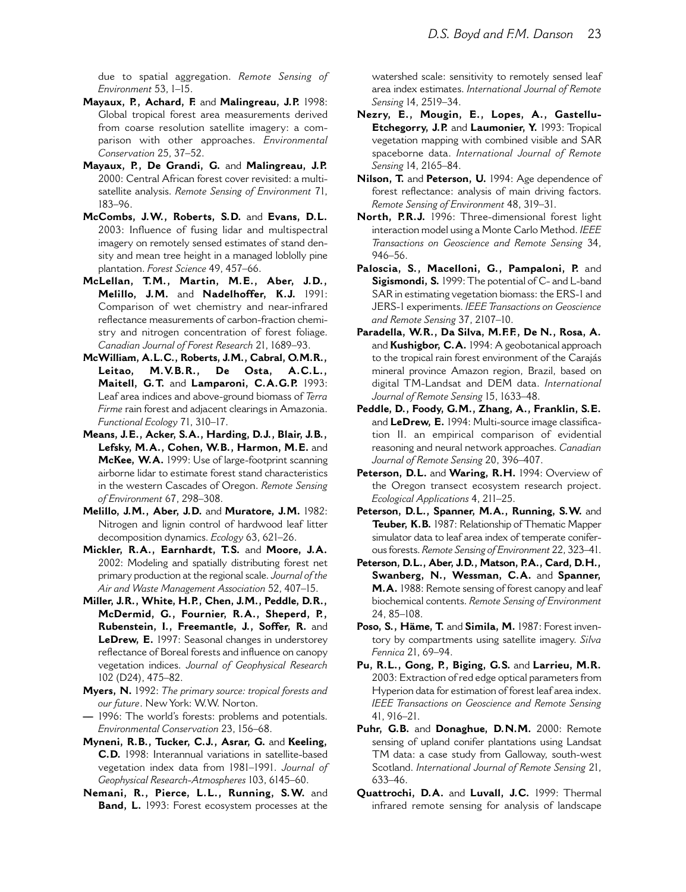due to spatial aggregation. Remote Sensing of Environment 53, 1-15.

- Mayaux, P., Achard, F. and Malingreau, J.P. 1998: Global tropical forest area measurements derived from coarse resolution satellite imagery: a comparison with other approaches. Environmental Conservation 25, 37-52.
- Mayaux, P., De Grandi, G. and Malingreau, J.P. 2000: Central African forest cover revisited: a multisatellite analysis. Remote Sensing of Environment 71,  $183 - 96.$
- McCombs, J.W., Roberts, S.D. and Evans, D.L. 2003: Influence of fusing lidar and multispectral imagery on remotely sensed estimates of stand density and mean tree height in a managed loblolly pine plantation. Forest Science 49, 457-66.
- McLellan, T.M., Martin, M.E., Aber, J.D., Melillo, J.M. and Nadelhoffer, K.J. 1991: Comparison of wet chemistry and near-infrared reflectance measurements of carbon-fraction chemistry and nitrogen concentration of forest foliage. Canadian Journal of Forest Research 21, 1689-93.
- McWilliam, A.L.C., Roberts, J.M., Cabral, O.M.R., Leitao,  $M.V.B.R.,$ De Osta,  $A.C.L.,$ Maitell, G.T. and Lamparoni, C.A.G.P. 1993: Leaf area indices and above-ground biomass of Terra Firme rain forest and adjacent clearings in Amazonia. Functional Ecology 71, 310-17.
- Means, J.E., Acker, S.A., Harding, D.J., Blair, J.B., Lefsky, M.A., Cohen, W.B., Harmon, M.E. and McKee, W.A. 1999: Use of large-footprint scanning airborne lidar to estimate forest stand characteristics in the western Cascades of Oregon. Remote Sensing of Environment 67, 298-308.
- Melillo, J.M., Aber, J.D. and Muratore, J.M. 1982: Nitrogen and lignin control of hardwood leaf litter decomposition dynamics. Ecology 63, 621-26.
- Mickler, R.A., Earnhardt, T.S. and Moore, J.A. 2002: Modeling and spatially distributing forest net primary production at the regional scale. Journal of the Air and Waste Management Association 52, 407-15.
- Miller, J.R., White, H.P., Chen, J.M., Peddle, D.R., McDermid, G., Fournier, R.A., Sheperd, P., Rubenstein, I., Freemantle, J., Soffer, R. and LeDrew, E. 1997: Seasonal changes in understorey reflectance of Boreal forests and influence on canopy vegetation indices. Journal of Geophysical Research 102 (D24), 475-82.
- Myers, N. 1992: The primary source: tropical forests and our future. New York: W.W. Norton.
- 1996: The world's forests: problems and potentials. Environmental Conservation 23, 156-68.
- Myneni, R.B., Tucker, C.J., Asrar, G. and Keeling, C.D. 1998: Interannual variations in satellite-based vegetation index data from 1981-1991. Journal of Geophysical Research-Atmospheres 103, 6145-60.
- Nemani, R., Pierce, L.L., Running, S.W. and Band, L. 1993: Forest ecosystem processes at the

watershed scale: sensitivity to remotely sensed leaf area index estimates. International Journal of Remote Sensing 14, 2519-34.

- Nezry, E., Mougin, E., Lopes, A., Gastellu-Etchegorry, J.P. and Laumonier, Y. 1993: Tropical vegetation mapping with combined visible and SAR spaceborne data. International Journal of Remote Sensing 14, 2165-84.
- Nilson, T. and Peterson, U. 1994: Age dependence of forest reflectance: analysis of main driving factors. Remote Sensing of Environment 48, 319-31.
- North, P.R.J. 1996: Three-dimensional forest light interaction model using a Monte Carlo Method. IEEE Transactions on Geoscience and Remote Sensing 34,  $946 - 56$ .
- Paloscia, S., Macelloni, G., Pampaloni, P. and Sigismondi, S. 1999: The potential of C- and L-band SAR in estimating vegetation biomass: the ERS-I and JERS-1 experiments. IEEE Transactions on Geoscience and Remote Sensing 37, 2107-10.
- Paradella, W.R., Da Silva, M.F.F, De N., Rosa, A. and Kushigbor, C.A. 1994: A geobotanical approach to the tropical rain forest environment of the Carajás mineral province Amazon region, Brazil, based on digital TM-Landsat and DEM data, International Journal of Remote Sensing 15, 1633-48.
- Peddle, D., Foody, G.M., Zhang, A., Franklin, S.E. and LeDrew, E. 1994: Multi-source image classification II. an empirical comparison of evidential reasoning and neural network approaches. Canadian Journal of Remote Sensing 20, 396-407.
- Peterson, D.L. and Waring, R.H. 1994: Overview of the Oregon transect ecosystem research project. Ecological Applications 4, 211-25.
- Peterson, D.L., Spanner, M.A., Running, S.W. and Teuber, K.B. 1987: Relationship of Thematic Mapper simulator data to leaf area index of temperate coniferous forests. Remote Sensing of Environment 22, 323-41.
- Peterson, D.L., Aber, J.D., Matson, P.A., Card, D.H., Swanberg, N., Wessman, C.A. and Spanner, M.A. 1988: Remote sensing of forest canopy and leaf biochemical contents. Remote Sensing of Environment 24, 85-108.
- Poso, S., Häme, T. and Simila, M. 1987: Forest inventory by compartments using satellite imagery. Silva Fennica 21, 69-94.
- Pu, R.L., Gong, P., Biging, G.S. and Larrieu, M.R. 2003: Extraction of red edge optical parameters from Hyperion data for estimation of forest leaf area index. IEEE Transactions on Geoscience and Remote Sensing  $41.916 - 21.$
- Puhr, G.B. and Donaghue, D.N.M. 2000: Remote sensing of upland conifer plantations using Landsat TM data: a case study from Galloway, south-west Scotland. International Journal of Remote Sensing 21, 633-46.
- Ouattrochi, D.A. and Luvall, J.C. 1999: Thermal infrared remote sensing for analysis of landscape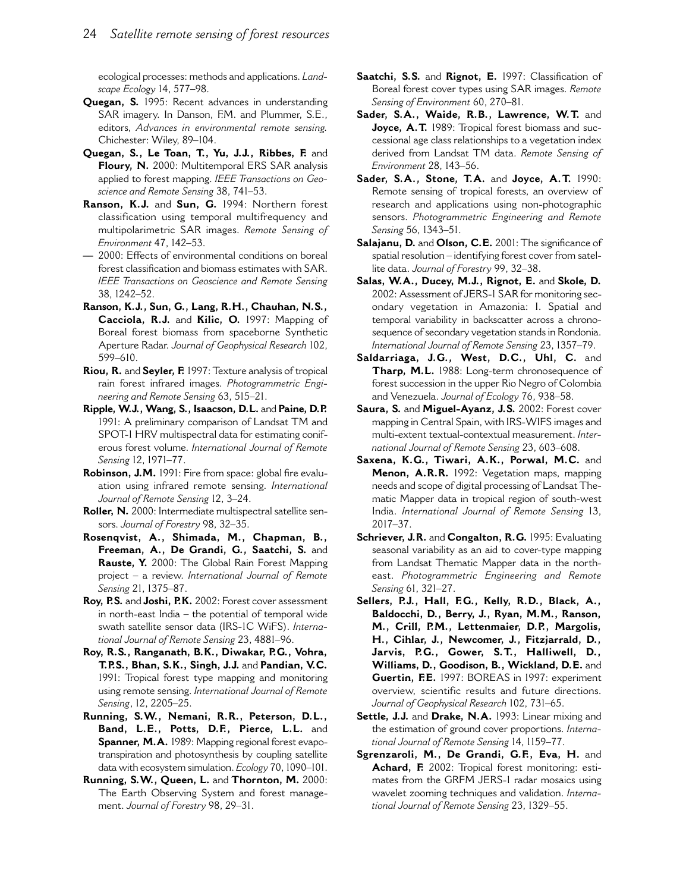ecological processes: methods and applications. Landscape Ecology 14, 577-98.

- **Quegan, S.** 1995: Recent advances in understanding SAR imagery. In Danson, F.M. and Plummer, S.E., editors, Advances in environmental remote sensing. Chichester: Wiley, 89-104.
- Quegan, S., Le Toan, T., Yu, J.J., Ribbes, F. and Floury, N. 2000: Multitemporal ERS SAR analysis applied to forest mapping. IEEE Transactions on Geoscience and Remote Sensing 38, 741-53.
- Ranson, K.J. and Sun, G. 1994: Northern forest classification using temporal multifrequency and multipolarimetric SAR images. Remote Sensing of Environment 47, 142-53.
- 2000: Effects of environmental conditions on boreal forest classification and biomass estimates with SAR. IEEE Transactions on Geoscience and Remote Sensing 38, 1242-52.
- Ranson, K.J., Sun, G., Lang, R.H., Chauhan, N.S., Cacciola, R.J. and Kilic, O. 1997: Mapping of Boreal forest biomass from spaceborne Synthetic Aperture Radar, Journal of Geophysical Research 102. 599-610.
- Riou, R. and Seyler, F. 1997: Texture analysis of tropical rain forest infrared images. Photogrammetric Engineering and Remote Sensing 63, 515-21.
- Ripple, W.J., Wang, S., Isaacson, D.L. and Paine, D.P. 1991: A preliminary comparison of Landsat TM and SPOT-1 HRV multispectral data for estimating coniferous forest volume. International Journal of Remote Sensing 12, 1971-77.
- Robinson, J.M. 1991: Fire from space: global fire evaluation using infrared remote sensing. International Journal of Remote Sensing 12, 3-24.
- Roller, N. 2000: Intermediate multispectral satellite sensors. Journal of Forestry 98, 32-35.
- Rosenqvist, A., Shimada, M., Chapman, B., Freeman, A., De Grandi, G., Saatchi, S. and Rauste, Y. 2000: The Global Rain Forest Mapping project - a review. International Journal of Remote Sensing 21, 1375-87.
- Roy, P.S. and Joshi, P.K. 2002: Forest cover assessment in north-east India - the potential of temporal wide swath satellite sensor data (IRS-IC WiFS). International Journal of Remote Sensing 23, 4881-96.
- Roy, R.S., Ranganath, B.K., Diwakar, P.G., Vohra, T.P.S., Bhan, S.K., Singh, J.J. and Pandian, V.C. 1991: Tropical forest type mapping and monitoring using remote sensing. International Journal of Remote Sensing, 12, 2205-25.
- Running, S.W., Nemani, R.R., Peterson, D.L., Band, L.E., Potts, D.F., Pierce, L.L. and Spanner, M.A. 1989: Mapping regional forest evapotranspiration and photosynthesis by coupling satellite data with ecosystem simulation. Ecology 70, 1090-101.
- Running, S.W., Queen, L. and Thornton, M. 2000: The Earth Observing System and forest management. Journal of Forestry 98, 29-31.
- Saatchi, S.S. and Rignot, E. 1997: Classification of Boreal forest cover types using SAR images. Remote Sensing of Environment 60, 270-81.
- Sader, S.A., Waide, R.B., Lawrence, W.T. and Joyce, A.T. 1989: Tropical forest biomass and successional age class relationships to a vegetation index derived from Landsat TM data. Remote Sensing of Environment 28, 143-56.
- Sader, S.A., Stone, T.A. and Joyce, A.T. 1990: Remote sensing of tropical forests, an overview of research and applications using non-photographic sensors. Photogrammetric Engineering and Remote Sensing 56, 1343-51.
- Salajanu, D. and Olson, C.E. 2001: The significance of spatial resolution - identifying forest cover from satellite data. Journal of Forestry 99, 32-38.
- Salas, W.A., Ducey, M.J., Rignot, E. and Skole, D. 2002: Assessment of JERS-1 SAR for monitoring secondary vegetation in Amazonia: I. Spatial and temporal variability in backscatter across a chronosequence of secondary vegetation stands in Rondonia. International Journal of Remote Sensing 23, 1357-79.
- Saldarriaga, J.G., West, D.C., Uhl, C. and Tharp, M.L. 1988: Long-term chronosequence of forest succession in the upper Rio Negro of Colombia and Venezuela. Journal of Ecology 76, 938-58.
- Saura, S. and Miguel-Ayanz, J.S. 2002: Forest cover mapping in Central Spain, with IRS-WIFS images and multi-extent textual-contextual measurement. International Journal of Remote Sensing 23, 603-608.
- Saxena, K.G., Tiwari, A.K., Porwal, M.C. and Menon, A.R.R. 1992: Vegetation maps, mapping needs and scope of digital processing of Landsat Thematic Mapper data in tropical region of south-west India. International Journal of Remote Sensing 13,  $2017 - 37$ .
- Schriever, J.R. and Congalton, R.G. 1995: Evaluating seasonal variability as an aid to cover-type mapping from Landsat Thematic Mapper data in the northeast. Photogrammetric Engineering and Remote Sensing 61, 321-27.
- Sellers, P.J., Hall, F.G., Kelly, R.D., Black, A., Baldocchi, D., Berry, J., Ryan, M.M., Ranson, M., Crill, P.M., Lettenmaier, D.P., Margolis, H., Cihlar, J., Newcomer, J., Fitzjarrald, D., Jarvis, P.G., Gower, S.T., Halliwell, D., Williams, D., Goodison, B., Wickland, D.E. and Guertin, F.E. 1997: BOREAS in 1997: experiment overview, scientific results and future directions. Journal of Geophysical Research 102, 731-65.
- Settle, J.J. and Drake, N.A. 1993: Linear mixing and the estimation of ground cover proportions. International Journal of Remote Sensing 14, 1159-77.
- Sgrenzaroli, M., De Grandi, G.F., Eva, H. and Achard, F. 2002: Tropical forest monitoring: estimates from the GRFM JERS-1 radar mosaics using wavelet zooming techniques and validation. International Journal of Remote Sensing 23, 1329-55.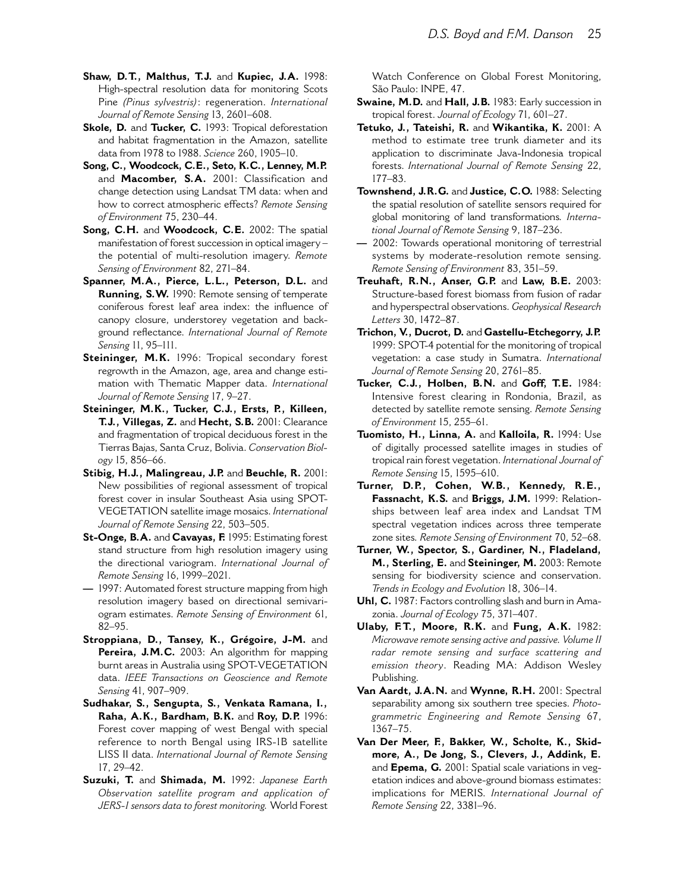- Shaw, D.T., Malthus, T.J. and Kupiec, J.A. 1998: High-spectral resolution data for monitoring Scots Pine (Pinus sylvestris): regeneration. International Journal of Remote Sensing 13, 2601-608.
- Skole, D. and Tucker, C. 1993: Tropical deforestation and habitat fragmentation in the Amazon, satellite data from 1978 to 1988. Science 260, 1905-10.
- Song, C., Woodcock, C.E., Seto, K.C., Lenney, M.P. and Macomber, S.A. 2001: Classification and change detection using Landsat TM data: when and how to correct atmospheric effects? Remote Sensing of Environment 75, 230-44.
- Song, C.H. and Woodcock, C.E. 2002: The spatial manifestation of forest succession in optical imagerythe potential of multi-resolution imagery. Remote Sensing of Environment 82, 271-84.
- Spanner, M.A., Pierce, L.L., Peterson, D.L. and Running, S.W. 1990: Remote sensing of temperate coniferous forest leaf area index: the influence of canopy closure, understorey vegetation and background reflectance. International Journal of Remote Sensing 11, 95-111.
- Steininger, M.K. 1996: Tropical secondary forest regrowth in the Amazon, age, area and change estimation with Thematic Mapper data, International Journal of Remote Sensing 17, 9-27.
- Steininger, M.K., Tucker, C.J., Ersts, P., Killeen, T.J., Villegas, Z. and Hecht, S.B. 2001: Clearance and fragmentation of tropical deciduous forest in the Tierras Bajas, Santa Cruz, Bolivia. Conservation Biology 15, 856-66.
- Stibig, H.J., Malingreau, J.P. and Beuchle, R. 2001: New possibilities of regional assessment of tropical forest cover in insular Southeast Asia using SPOT-VEGETATION satellite image mosaics. International Journal of Remote Sensing 22, 503-505.
- St-Onge, B.A. and Cavayas, F. 1995: Estimating forest stand structure from high resolution imagery using the directional variogram. International Journal of Remote Sensing 16, 1999-2021.
- 1997: Automated forest structure mapping from high resolution imagery based on directional semivariogram estimates. Remote Sensing of Environment 61,  $82 - 95$ .
- Stroppiana, D., Tansey, K., Grégoire, J-M. and Pereira, J.M.C. 2003: An algorithm for mapping burnt areas in Australia using SPOT-VEGETATION data. IEEE Transactions on Geoscience and Remote Sensing 41, 907-909.
- Sudhakar, S., Sengupta, S., Venkata Ramana, I., Raha, A.K., Bardham, B.K. and Roy, D.P. 1996: Forest cover mapping of west Bengal with special reference to north Bengal using IRS-1B satellite LISS II data. International Journal of Remote Sensing 17.29-42.
- Suzuki, T. and Shimada, M. 1992: Japanese Earth Observation satellite program and application of JERS-I sensors data to forest monitoring. World Forest

Watch Conference on Global Forest Monitoring, São Paulo: INPE, 47.

- Swaine, M.D. and Hall, J.B. 1983: Early succession in tropical forest. Journal of Ecology 71, 601-27.
- Tetuko, J., Tateishi, R. and Wikantika, K. 2001: A method to estimate tree trunk diameter and its application to discriminate Java-Indonesia tropical forests. International Journal of Remote Sensing 22,  $177 - 83$ .
- Townshend, J.R.G. and Justice, C.O. 1988: Selecting the spatial resolution of satellite sensors required for global monitoring of land transformations. International Journal of Remote Sensing 9, 187-236.
- 2002: Towards operational monitoring of terrestrial systems by moderate-resolution remote sensing. Remote Sensing of Environment 83, 351-59.
- Treuhaft, R.N., Anser, G.P. and Law, B.E. 2003: Structure-based forest biomass from fusion of radar and hyperspectral observations. Geophysical Research Letters 30, 1472-87.
- Trichon, V., Ducrot, D. and Gastellu-Etchegorry, J.P. 1999: SPOT-4 potential for the monitoring of tropical vegetation: a case study in Sumatra. International Journal of Remote Sensing 20, 2761-85.
- Tucker, C.J., Holben, B.N. and Goff, T.E. 1984: Intensive forest clearing in Rondonia, Brazil, as detected by satellite remote sensing. Remote Sensing of Environment 15, 255-61.
- Tuomisto, H., Linna, A. and Kalloila, R. 1994: Use of digitally processed satellite images in studies of tropical rain forest vegetation. International Journal of Remote Sensing 15, 1595-610.
- Turner, D.P., Cohen, W.B., Kennedy, R.E., Fassnacht, K.S. and Briggs, J.M. 1999: Relationships between leaf area index and Landsat TM spectral vegetation indices across three temperate zone sites. Remote Sensing of Environment 70, 52-68.
- Turner, W., Spector, S., Gardiner, N., Fladeland, M., Sterling, E. and Steininger, M. 2003: Remote sensing for biodiversity science and conservation. Trends in Ecology and Evolution 18, 306-14.
- Uhl, C. 1987: Factors controlling slash and burn in Amazonia. Journal of Ecology 75, 371-407.
- Ulaby, F.T., Moore, R.K. and Fung, A.K. 1982: Microwave remote sensing active and passive. Volume II radar remote sensing and surface scattering and emission theory. Reading MA: Addison Wesley Publishing.
- Van Aardt, J.A.N. and Wynne, R.H. 2001: Spectral separability among six southern tree species. Photogrammetric Engineering and Remote Sensing 67,  $1367 - 75.$
- Van Der Meer, F., Bakker, W., Scholte, K., Skidmore, A., De Jong, S., Clevers, J., Addink, E. and Epema, G. 2001: Spatial scale variations in vegetation indices and above-ground biomass estimates: implications for MERIS. International Journal of Remote Sensing 22, 3381-96.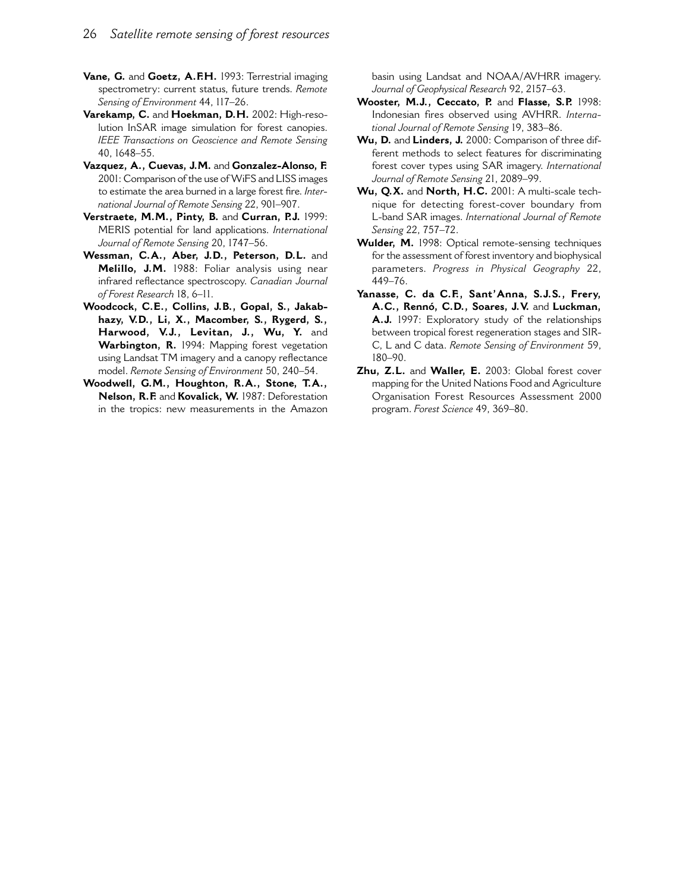- Vane, G. and Goetz, A.F.H. 1993: Terrestrial imaging spectrometry: current status, future trends. Remote Sensing of Environment 44, 117-26.
- Varekamp, C. and Hoekman, D.H. 2002: High-resolution InSAR image simulation for forest canopies. IEEE Transactions on Geoscience and Remote Sensing 40.1648-55.
- Vazquez, A., Cuevas, J.M. and Gonzalez-Alonso, F. 2001: Comparison of the use of WiFS and LISS images to estimate the area burned in a large forest fire. International Journal of Remote Sensing 22, 901-907.
- Verstraete, M.M., Pinty, B. and Curran, P.J. 1999: MERIS potential for land applications. International Journal of Remote Sensing 20, 1747-56.
- Wessman, C.A., Aber, J.D., Peterson, D.L. and Melillo, J.M. 1988: Foliar analysis using near infrared reflectance spectroscopy. Canadian Journal of Forest Research 18, 6-11.
- Woodcock, C.E., Collins, J.B., Gopal, S., Jakabhazy, V.D., Li, X., Macomber, S., Rygerd, S., Harwood, V.J., Levitan, J., Wu, Y. and Warbington, R. 1994: Mapping forest vegetation using Landsat TM imagery and a canopy reflectance model. Remote Sensing of Environment 50, 240-54.
- Woodwell, G.M., Houghton, R.A., Stone, T.A., Nelson, R.F. and Kovalick, W. 1987: Deforestation in the tropics: new measurements in the Amazon

basin using Landsat and NOAA/AVHRR imagery. Journal of Geophysical Research 92, 2157-63.

- Wooster, M.J., Ceccato, P. and Flasse, S.P. 1998: Indonesian fires observed using AVHRR. International Journal of Remote Sensing 19, 383-86.
- Wu, D. and Linders, J. 2000: Comparison of three different methods to select features for discriminating forest cover types using SAR imagery. International Journal of Remote Sensing 21, 2089-99.
- Wu, O.X. and North, H.C. 2001: A multi-scale technique for detecting forest-cover boundary from L-band SAR images. International Journal of Remote Sensing 22, 757-72.
- Wulder, M. 1998: Optical remote-sensing techniques for the assessment of forest inventory and biophysical parameters. Progress in Physical Geography 22, 449-76.
- Yanasse, C. da C.F., Sant'Anna, S.J.S., Frery, A.C., Rennó, C.D., Soares, J.V. and Luckman, A.J. 1997: Exploratory study of the relationships between tropical forest regeneration stages and SIR-C. L and C data. Remote Sensing of Environment 59.  $180 - 90.$
- Zhu, Z.L. and Waller, E. 2003: Global forest cover mapping for the United Nations Food and Agriculture Organisation Forest Resources Assessment 2000 program. Forest Science 49, 369-80.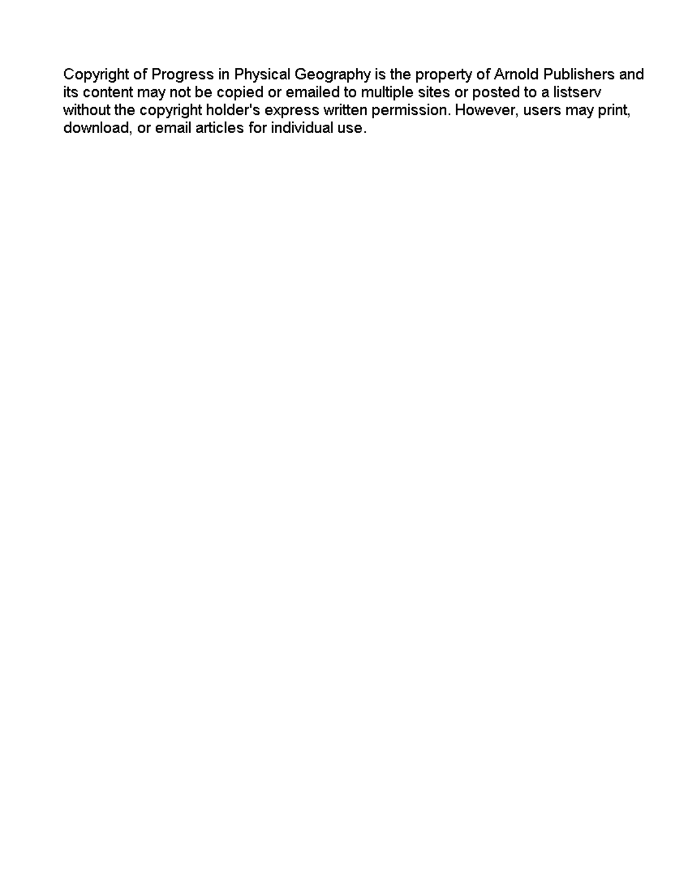Copyright of Progress in Physical Geography is the property of Arnold Publishers and its content may not be copied or emailed to multiple sites or posted to a listserv without the copyright holder's express written permission. However, users may print, download, or email articles for individual use.